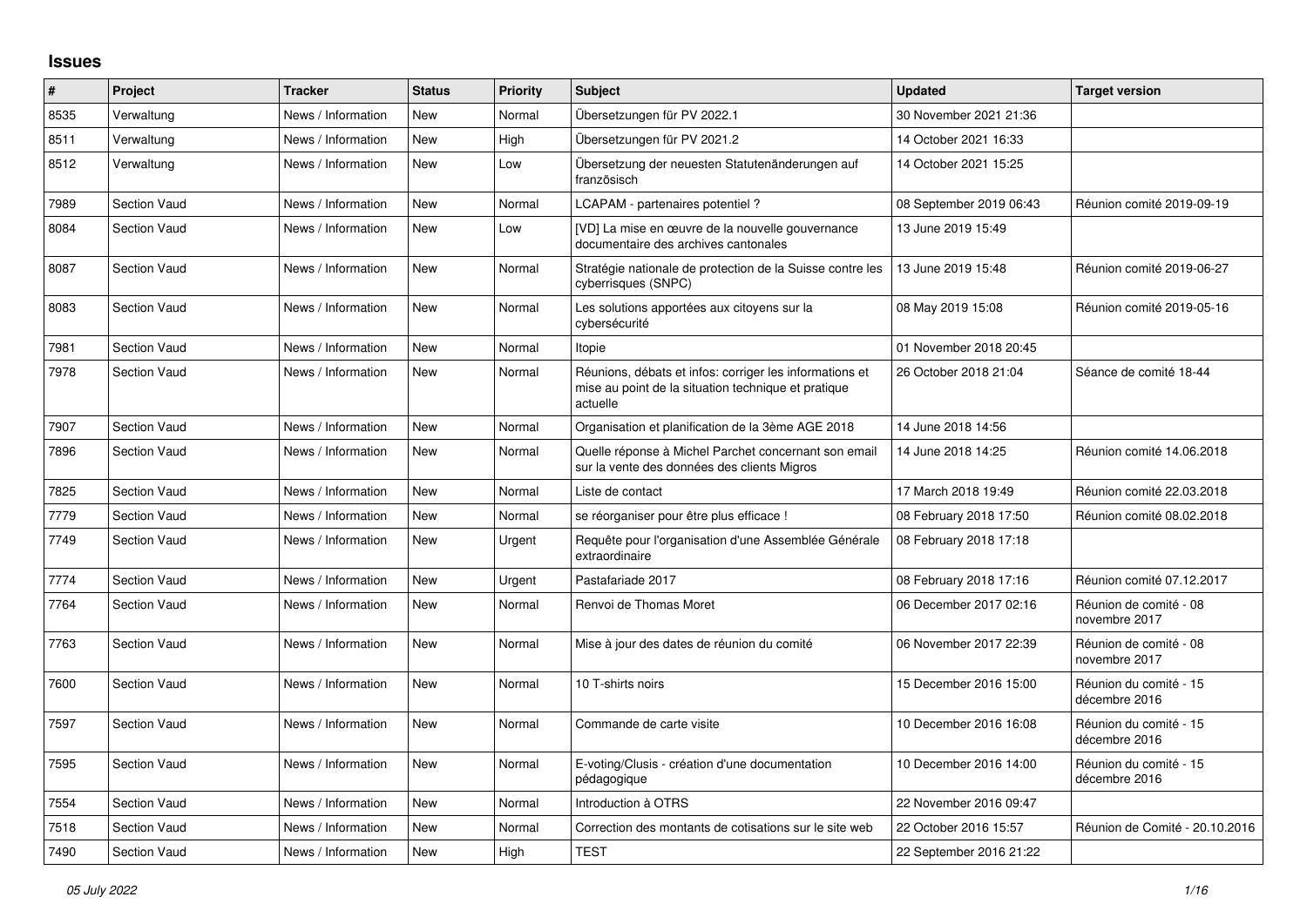## **Issues**

| #    | Project             | <b>Tracker</b>     | <b>Status</b> | <b>Priority</b> | <b>Subject</b>                                                                                                             | <b>Updated</b>          | <b>Target version</b>                   |
|------|---------------------|--------------------|---------------|-----------------|----------------------------------------------------------------------------------------------------------------------------|-------------------------|-----------------------------------------|
| 8535 | Verwaltung          | News / Information | <b>New</b>    | Normal          | Übersetzungen für PV 2022.1                                                                                                | 30 November 2021 21:36  |                                         |
| 8511 | Verwaltung          | News / Information | <b>New</b>    | High            | Übersetzungen für PV 2021.2                                                                                                | 14 October 2021 16:33   |                                         |
| 8512 | Verwaltung          | News / Information | <b>New</b>    | Low             | Übersetzung der neuesten Statutenänderungen auf<br>französisch                                                             | 14 October 2021 15:25   |                                         |
| 7989 | <b>Section Vaud</b> | News / Information | <b>New</b>    | Normal          | LCAPAM - partenaires potentiel?                                                                                            | 08 September 2019 06:43 | Réunion comité 2019-09-19               |
| 8084 | <b>Section Vaud</b> | News / Information | <b>New</b>    | Low             | [VD] La mise en œuvre de la nouvelle gouvernance<br>documentaire des archives cantonales                                   | 13 June 2019 15:49      |                                         |
| 8087 | <b>Section Vaud</b> | News / Information | <b>New</b>    | Normal          | Stratégie nationale de protection de la Suisse contre les<br>cyberrisques (SNPC)                                           | 13 June 2019 15:48      | Réunion comité 2019-06-27               |
| 8083 | <b>Section Vaud</b> | News / Information | <b>New</b>    | Normal          | Les solutions apportées aux citoyens sur la<br>cybersécurité                                                               | 08 May 2019 15:08       | Réunion comité 2019-05-16               |
| 7981 | <b>Section Vaud</b> | News / Information | <b>New</b>    | Normal          | Itopie                                                                                                                     | 01 November 2018 20:45  |                                         |
| 7978 | <b>Section Vaud</b> | News / Information | <b>New</b>    | Normal          | Réunions, débats et infos: corriger les informations et<br>mise au point de la situation technique et pratique<br>actuelle | 26 October 2018 21:04   | Séance de comité 18-44                  |
| 7907 | <b>Section Vaud</b> | News / Information | <b>New</b>    | Normal          | Organisation et planification de la 3ème AGE 2018                                                                          | 14 June 2018 14:56      |                                         |
| 7896 | <b>Section Vaud</b> | News / Information | <b>New</b>    | Normal          | Quelle réponse à Michel Parchet concernant son email<br>sur la vente des données des clients Migros                        | 14 June 2018 14:25      | Réunion comité 14.06.2018               |
| 7825 | <b>Section Vaud</b> | News / Information | <b>New</b>    | Normal          | Liste de contact                                                                                                           | 17 March 2018 19:49     | Réunion comité 22.03.2018               |
| 7779 | <b>Section Vaud</b> | News / Information | <b>New</b>    | Normal          | se réorganiser pour être plus efficace !                                                                                   | 08 February 2018 17:50  | Réunion comité 08.02.2018               |
| 7749 | <b>Section Vaud</b> | News / Information | <b>New</b>    | Urgent          | Requête pour l'organisation d'une Assemblée Générale<br>extraordinaire                                                     | 08 February 2018 17:18  |                                         |
| 7774 | <b>Section Vaud</b> | News / Information | <b>New</b>    | Urgent          | Pastafariade 2017                                                                                                          | 08 February 2018 17:16  | Réunion comité 07.12.2017               |
| 7764 | <b>Section Vaud</b> | News / Information | <b>New</b>    | Normal          | Renvoi de Thomas Moret                                                                                                     | 06 December 2017 02:16  | Réunion de comité - 08<br>novembre 2017 |
| 7763 | <b>Section Vaud</b> | News / Information | <b>New</b>    | Normal          | Mise à jour des dates de réunion du comité                                                                                 | 06 November 2017 22:39  | Réunion de comité - 08<br>novembre 2017 |
| 7600 | <b>Section Vaud</b> | News / Information | <b>New</b>    | Normal          | 10 T-shirts noirs                                                                                                          | 15 December 2016 15:00  | Réunion du comité - 15<br>décembre 2016 |
| 7597 | <b>Section Vaud</b> | News / Information | <b>New</b>    | Normal          | Commande de carte visite                                                                                                   | 10 December 2016 16:08  | Réunion du comité - 15<br>décembre 2016 |
| 7595 | <b>Section Vaud</b> | News / Information | <b>New</b>    | Normal          | E-voting/Clusis - création d'une documentation<br>pédagogique                                                              | 10 December 2016 14:00  | Réunion du comité - 15<br>décembre 2016 |
| 7554 | <b>Section Vaud</b> | News / Information | <b>New</b>    | Normal          | Introduction à OTRS                                                                                                        | 22 November 2016 09:47  |                                         |
| 7518 | <b>Section Vaud</b> | News / Information | <b>New</b>    | Normal          | Correction des montants de cotisations sur le site web                                                                     | 22 October 2016 15:57   | Réunion de Comité - 20.10.2016          |
| 7490 | <b>Section Vaud</b> | News / Information | <b>New</b>    | High            | <b>TEST</b>                                                                                                                | 22 September 2016 21:22 |                                         |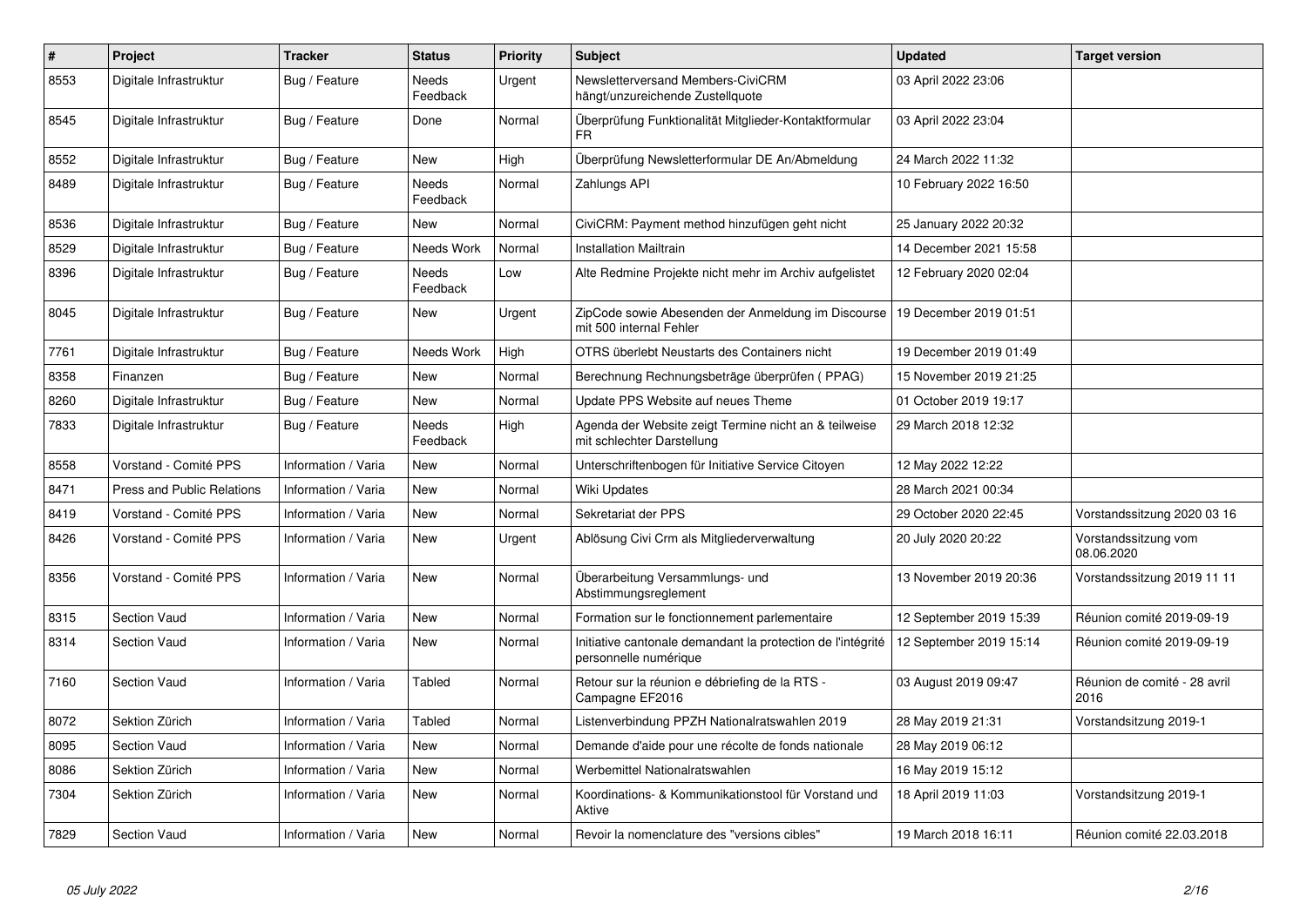| $\#$ | Project                           | <b>Tracker</b>      | <b>Status</b>            | <b>Priority</b> | <b>Subject</b>                                                                       | <b>Updated</b>          | <b>Target version</b>                |
|------|-----------------------------------|---------------------|--------------------------|-----------------|--------------------------------------------------------------------------------------|-------------------------|--------------------------------------|
| 8553 | Digitale Infrastruktur            | Bug / Feature       | Needs<br>Feedback        | Urgent          | Newsletterversand Members-CiviCRM<br>hängt/unzureichende Zustellquote                | 03 April 2022 23:06     |                                      |
| 8545 | Digitale Infrastruktur            | Bug / Feature       | Done                     | Normal          | Überprüfung Funktionalität Mitglieder-Kontaktformular<br>FR                          | 03 April 2022 23:04     |                                      |
| 8552 | Digitale Infrastruktur            | Bug / Feature       | New                      | High            | Überprüfung Newsletterformular DE An/Abmeldung                                       | 24 March 2022 11:32     |                                      |
| 8489 | Digitale Infrastruktur            | Bug / Feature       | Needs<br>Feedback        | Normal          | Zahlungs API                                                                         | 10 February 2022 16:50  |                                      |
| 8536 | Digitale Infrastruktur            | Bug / Feature       | <b>New</b>               | Normal          | CiviCRM: Payment method hinzufügen geht nicht                                        | 25 January 2022 20:32   |                                      |
| 8529 | Digitale Infrastruktur            | Bug / Feature       | Needs Work               | Normal          | Installation Mailtrain                                                               | 14 December 2021 15:58  |                                      |
| 8396 | Digitale Infrastruktur            | Bug / Feature       | Needs<br>Feedback        | Low             | Alte Redmine Projekte nicht mehr im Archiv aufgelistet                               | 12 February 2020 02:04  |                                      |
| 8045 | Digitale Infrastruktur            | Bug / Feature       | New                      | Urgent          | ZipCode sowie Abesenden der Anmeldung im Discourse<br>mit 500 internal Fehler        | 19 December 2019 01:51  |                                      |
| 7761 | Digitale Infrastruktur            | Bug / Feature       | Needs Work               | High            | OTRS überlebt Neustarts des Containers nicht                                         | 19 December 2019 01:49  |                                      |
| 8358 | Finanzen                          | Bug / Feature       | <b>New</b>               | Normal          | Berechnung Rechnungsbeträge überprüfen (PPAG)                                        | 15 November 2019 21:25  |                                      |
| 8260 | Digitale Infrastruktur            | Bug / Feature       | <b>New</b>               | Normal          | Update PPS Website auf neues Theme                                                   | 01 October 2019 19:17   |                                      |
| 7833 | Digitale Infrastruktur            | Bug / Feature       | <b>Needs</b><br>Feedback | High            | Agenda der Website zeigt Termine nicht an & teilweise<br>mit schlechter Darstellung  | 29 March 2018 12:32     |                                      |
| 8558 | Vorstand - Comité PPS             | Information / Varia | <b>New</b>               | Normal          | Unterschriftenbogen für Initiative Service Citoyen                                   | 12 May 2022 12:22       |                                      |
| 8471 | <b>Press and Public Relations</b> | Information / Varia | <b>New</b>               | Normal          | Wiki Updates                                                                         | 28 March 2021 00:34     |                                      |
| 8419 | Vorstand - Comité PPS             | Information / Varia | <b>New</b>               | Normal          | Sekretariat der PPS                                                                  | 29 October 2020 22:45   | Vorstandssitzung 2020 03 16          |
| 8426 | Vorstand - Comité PPS             | Information / Varia | New                      | Urgent          | Ablösung Civi Crm als Mitgliederverwaltung                                           | 20 July 2020 20:22      | Vorstandssitzung vom<br>08.06.2020   |
| 8356 | Vorstand - Comité PPS             | Information / Varia | <b>New</b>               | Normal          | Überarbeitung Versammlungs- und<br>Abstimmungsreglement                              | 13 November 2019 20:36  | Vorstandssitzung 2019 11 11          |
| 8315 | <b>Section Vaud</b>               | Information / Varia | <b>New</b>               | Normal          | Formation sur le fonctionnement parlementaire                                        | 12 September 2019 15:39 | Réunion comité 2019-09-19            |
| 8314 | <b>Section Vaud</b>               | Information / Varia | New                      | Normal          | Initiative cantonale demandant la protection de l'intégrité<br>personnelle numérique | 12 September 2019 15:14 | Réunion comité 2019-09-19            |
| 7160 | Section Vaud                      | Information / Varia | Tabled                   | Normal          | Retour sur la réunion e débriefing de la RTS -<br>Campagne EF2016                    | 03 August 2019 09:47    | Réunion de comité - 28 avril<br>2016 |
| 8072 | Sektion Zürich                    | Information / Varia | Tabled                   | Normal          | Listenverbindung PPZH Nationalratswahlen 2019                                        | 28 May 2019 21:31       | Vorstandsitzung 2019-1               |
| 8095 | Section Vaud                      | Information / Varia | <b>New</b>               | Normal          | Demande d'aide pour une récolte de fonds nationale                                   | 28 May 2019 06:12       |                                      |
| 8086 | Sektion Zürich                    | Information / Varia | <b>New</b>               | Normal          | Werbemittel Nationalratswahlen                                                       | 16 May 2019 15:12       |                                      |
| 7304 | Sektion Zürich                    | Information / Varia | <b>New</b>               | Normal          | Koordinations- & Kommunikationstool für Vorstand und<br>Aktive                       | 18 April 2019 11:03     | Vorstandsitzung 2019-1               |
| 7829 | Section Vaud                      | Information / Varia | <b>New</b>               | Normal          | Revoir la nomenclature des "versions cibles"                                         | 19 March 2018 16:11     | Réunion comité 22.03.2018            |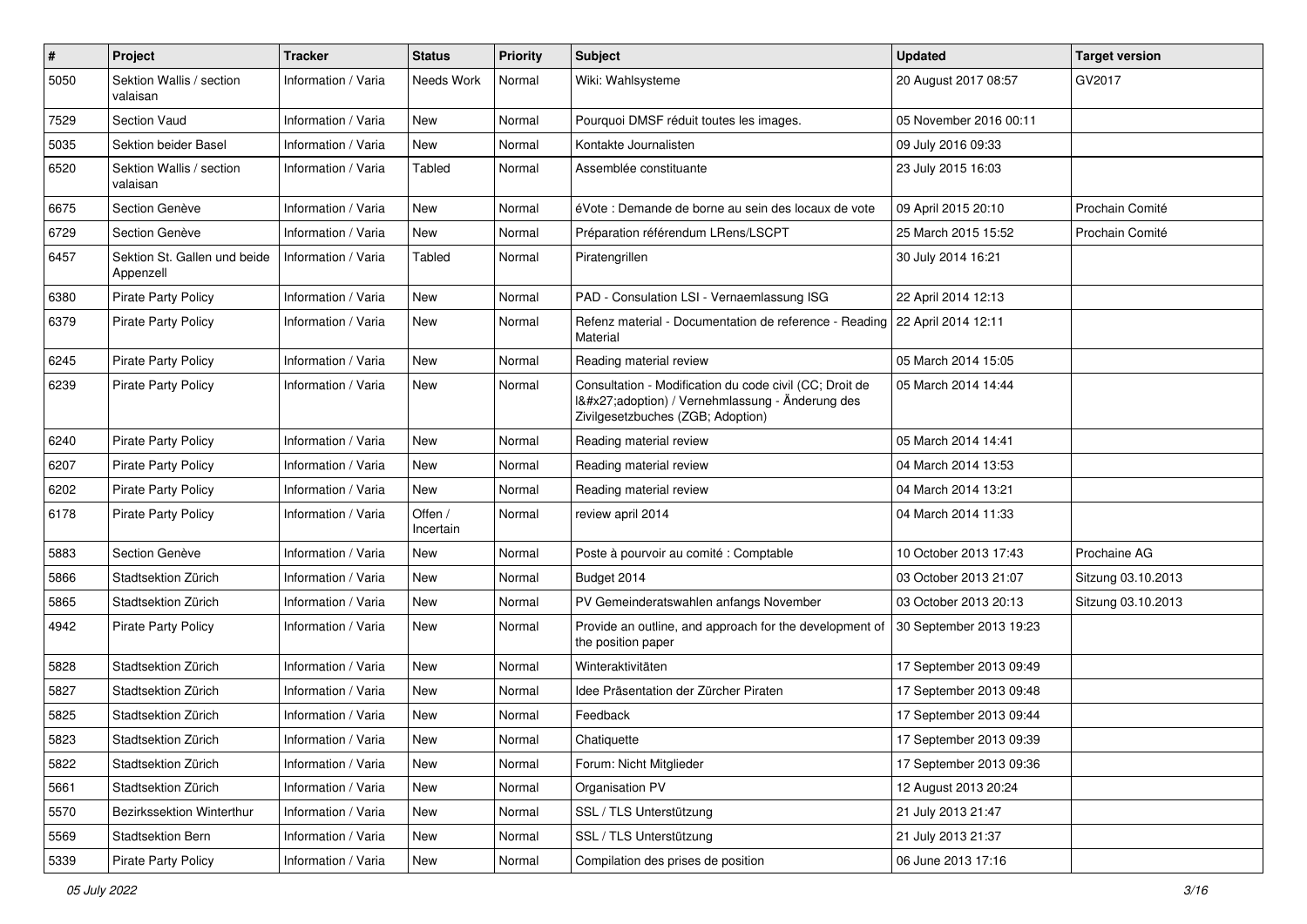| $\#$ | Project                                   | <b>Tracker</b>      | <b>Status</b>        | <b>Priority</b> | Subject                                                                                                                                     | <b>Updated</b>          | <b>Target version</b> |
|------|-------------------------------------------|---------------------|----------------------|-----------------|---------------------------------------------------------------------------------------------------------------------------------------------|-------------------------|-----------------------|
| 5050 | Sektion Wallis / section<br>valaisan      | Information / Varia | Needs Work           | Normal          | Wiki: Wahlsysteme                                                                                                                           | 20 August 2017 08:57    | GV2017                |
| 7529 | Section Vaud                              | Information / Varia | New                  | Normal          | Pourquoi DMSF réduit toutes les images.                                                                                                     | 05 November 2016 00:11  |                       |
| 5035 | Sektion beider Basel                      | Information / Varia | New                  | Normal          | Kontakte Journalisten                                                                                                                       | 09 July 2016 09:33      |                       |
| 6520 | Sektion Wallis / section<br>valaisan      | Information / Varia | Tabled               | Normal          | Assemblée constituante                                                                                                                      | 23 July 2015 16:03      |                       |
| 6675 | Section Genève                            | Information / Varia | New                  | Normal          | éVote : Demande de borne au sein des locaux de vote                                                                                         | 09 April 2015 20:10     | Prochain Comité       |
| 6729 | Section Genève                            | Information / Varia | New                  | Normal          | Préparation référendum LRens/LSCPT                                                                                                          | 25 March 2015 15:52     | Prochain Comité       |
| 6457 | Sektion St. Gallen und beide<br>Appenzell | Information / Varia | Tabled               | Normal          | Piratengrillen                                                                                                                              | 30 July 2014 16:21      |                       |
| 6380 | Pirate Party Policy                       | Information / Varia | <b>New</b>           | Normal          | PAD - Consulation LSI - Vernaemlassung ISG                                                                                                  | 22 April 2014 12:13     |                       |
| 6379 | <b>Pirate Party Policy</b>                | Information / Varia | New                  | Normal          | Refenz material - Documentation de reference - Reading   22 April 2014 12:11<br>Material                                                    |                         |                       |
| 6245 | <b>Pirate Party Policy</b>                | Information / Varia | <b>New</b>           | Normal          | Reading material review                                                                                                                     | 05 March 2014 15:05     |                       |
| 6239 | <b>Pirate Party Policy</b>                | Information / Varia | New                  | Normal          | Consultation - Modification du code civil (CC; Droit de<br>I'adoption) / Vernehmlassung - Änderung des<br>Zivilgesetzbuches (ZGB; Adoption) | 05 March 2014 14:44     |                       |
| 6240 | <b>Pirate Party Policy</b>                | Information / Varia | <b>New</b>           | Normal          | Reading material review                                                                                                                     | 05 March 2014 14:41     |                       |
| 6207 | <b>Pirate Party Policy</b>                | Information / Varia | New                  | Normal          | Reading material review                                                                                                                     | 04 March 2014 13:53     |                       |
| 6202 | <b>Pirate Party Policy</b>                | Information / Varia | New                  | Normal          | Reading material review                                                                                                                     | 04 March 2014 13:21     |                       |
| 6178 | <b>Pirate Party Policy</b>                | Information / Varia | Offen /<br>Incertain | Normal          | review april 2014                                                                                                                           | 04 March 2014 11:33     |                       |
| 5883 | Section Genève                            | Information / Varia | New                  | Normal          | Poste à pourvoir au comité : Comptable                                                                                                      | 10 October 2013 17:43   | Prochaine AG          |
| 5866 | Stadtsektion Zürich                       | Information / Varia | <b>New</b>           | Normal          | Budget 2014                                                                                                                                 | 03 October 2013 21:07   | Sitzung 03.10.2013    |
| 5865 | Stadtsektion Zürich                       | Information / Varia | New                  | Normal          | PV Gemeinderatswahlen anfangs November                                                                                                      | 03 October 2013 20:13   | Sitzung 03.10.2013    |
| 4942 | <b>Pirate Party Policy</b>                | Information / Varia | <b>New</b>           | Normal          | Provide an outline, and approach for the development of<br>the position paper                                                               | 30 September 2013 19:23 |                       |
| 5828 | Stadtsektion Zürich                       | Information / Varia | <b>New</b>           | Normal          | Winteraktivitäten                                                                                                                           | 17 September 2013 09:49 |                       |
| 5827 | Stadtsektion Zürich                       | Information / Varia | <b>New</b>           | Normal          | Idee Präsentation der Zürcher Piraten                                                                                                       | 17 September 2013 09:48 |                       |
| 5825 | Stadtsektion Zürich                       | Information / Varia | New                  | Normal          | Feedback                                                                                                                                    | 17 September 2013 09:44 |                       |
| 5823 | Stadtsektion Zürich                       | Information / Varia | New                  | Normal          | Chatiquette                                                                                                                                 | 17 September 2013 09:39 |                       |
| 5822 | Stadtsektion Zürich                       | Information / Varia | New                  | Normal          | Forum: Nicht Mitglieder                                                                                                                     | 17 September 2013 09:36 |                       |
| 5661 | Stadtsektion Zürich                       | Information / Varia | New                  | Normal          | Organisation PV                                                                                                                             | 12 August 2013 20:24    |                       |
| 5570 | Bezirkssektion Winterthur                 | Information / Varia | New                  | Normal          | SSL / TLS Unterstützung                                                                                                                     | 21 July 2013 21:47      |                       |
| 5569 | Stadtsektion Bern                         | Information / Varia | New                  | Normal          | SSL / TLS Unterstützung                                                                                                                     | 21 July 2013 21:37      |                       |
| 5339 | <b>Pirate Party Policy</b>                | Information / Varia | New                  | Normal          | Compilation des prises de position                                                                                                          | 06 June 2013 17:16      |                       |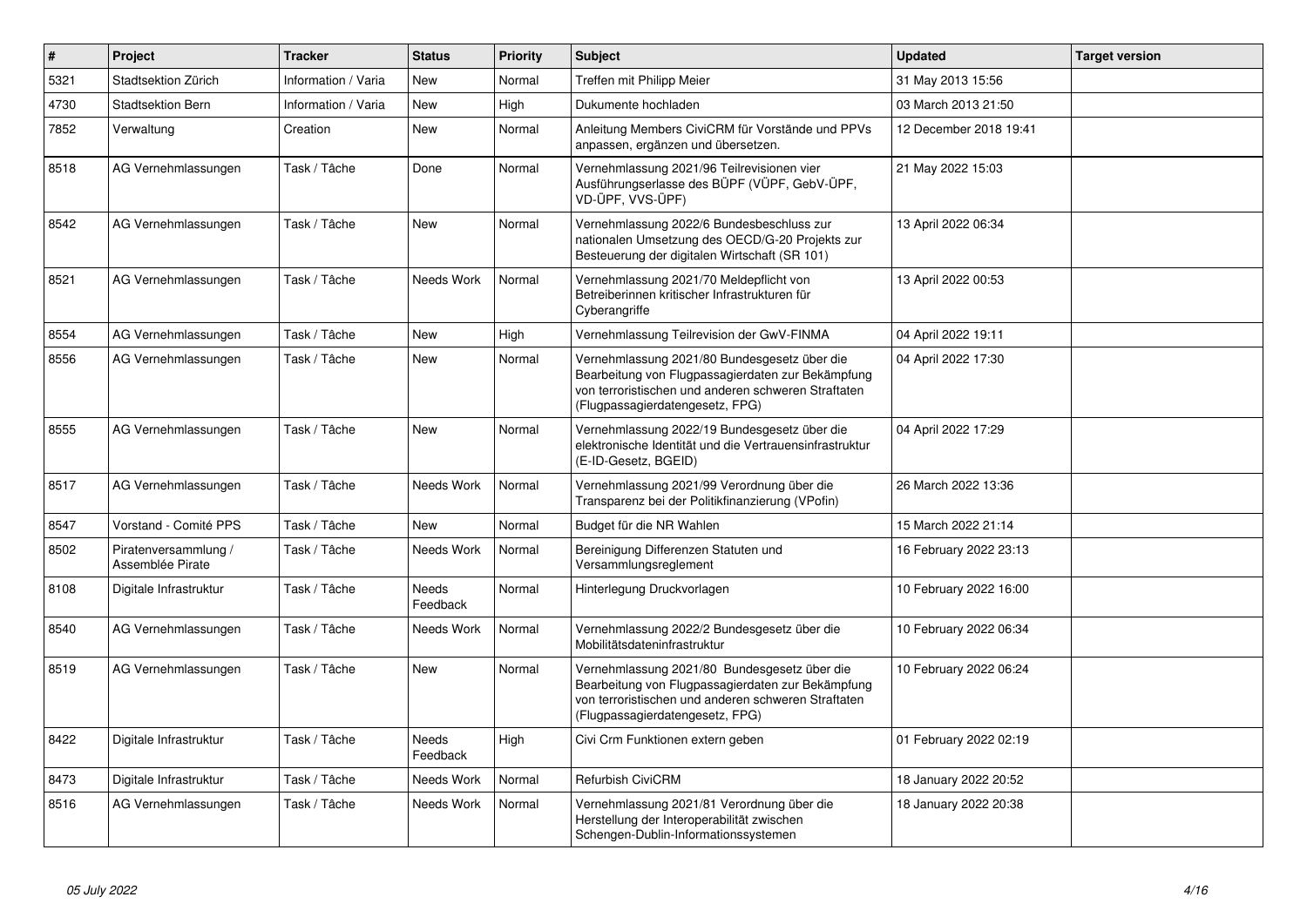| $\vert$ # | Project                                  | <b>Tracker</b>      | <b>Status</b>            | <b>Priority</b> | <b>Subject</b>                                                                                                                                                                              | <b>Updated</b>         | <b>Target version</b> |
|-----------|------------------------------------------|---------------------|--------------------------|-----------------|---------------------------------------------------------------------------------------------------------------------------------------------------------------------------------------------|------------------------|-----------------------|
| 5321      | Stadtsektion Zürich                      | Information / Varia | <b>New</b>               | Normal          | Treffen mit Philipp Meier                                                                                                                                                                   | 31 May 2013 15:56      |                       |
| 4730      | <b>Stadtsektion Bern</b>                 | Information / Varia | <b>New</b>               | High            | Dukumente hochladen                                                                                                                                                                         | 03 March 2013 21:50    |                       |
| 7852      | Verwaltung                               | Creation            | <b>New</b>               | Normal          | Anleitung Members CiviCRM für Vorstände und PPVs<br>anpassen, ergänzen und übersetzen.                                                                                                      | 12 December 2018 19:41 |                       |
| 8518      | AG Vernehmlassungen                      | Task / Tâche        | Done                     | Normal          | Vernehmlassung 2021/96 Teilrevisionen vier<br>Ausführungserlasse des BÜPF (VÜPF, GebV-ÜPF,<br>VD-ÜPF, VVS-ÜPF)                                                                              | 21 May 2022 15:03      |                       |
| 8542      | AG Vernehmlassungen                      | Task / Tâche        | <b>New</b>               | Normal          | Vernehmlassung 2022/6 Bundesbeschluss zur<br>nationalen Umsetzung des OECD/G-20 Projekts zur<br>Besteuerung der digitalen Wirtschaft (SR 101)                                               | 13 April 2022 06:34    |                       |
| 8521      | AG Vernehmlassungen                      | Task / Tâche        | Needs Work               | Normal          | Vernehmlassung 2021/70 Meldepflicht von<br>Betreiberinnen kritischer Infrastrukturen für<br>Cyberangriffe                                                                                   | 13 April 2022 00:53    |                       |
| 8554      | AG Vernehmlassungen                      | Task / Tâche        | <b>New</b>               | High            | Vernehmlassung Teilrevision der GwV-FINMA                                                                                                                                                   | 04 April 2022 19:11    |                       |
| 8556      | AG Vernehmlassungen                      | Task / Tâche        | <b>New</b>               | Normal          | Vernehmlassung 2021/80 Bundesgesetz über die<br>Bearbeitung von Flugpassagierdaten zur Bekämpfung<br>von terroristischen und anderen schweren Straftaten<br>(Flugpassagierdatengesetz, FPG) | 04 April 2022 17:30    |                       |
| 8555      | AG Vernehmlassungen                      | Task / Tâche        | <b>New</b>               | Normal          | Vernehmlassung 2022/19 Bundesgesetz über die<br>elektronische Identität und die Vertrauensinfrastruktur<br>(E-ID-Gesetz, BGEID)                                                             | 04 April 2022 17:29    |                       |
| 8517      | AG Vernehmlassungen                      | Task / Tâche        | Needs Work               | Normal          | Vernehmlassung 2021/99 Verordnung über die<br>Transparenz bei der Politikfinanzierung (VPofin)                                                                                              | 26 March 2022 13:36    |                       |
| 8547      | Vorstand - Comité PPS                    | Task / Tâche        | <b>New</b>               | Normal          | Budget für die NR Wahlen                                                                                                                                                                    | 15 March 2022 21:14    |                       |
| 8502      | Piratenversammlung /<br>Assemblée Pirate | Task / Tâche        | Needs Work               | Normal          | Bereinigung Differenzen Statuten und<br>Versammlungsreglement                                                                                                                               | 16 February 2022 23:13 |                       |
| 8108      | Digitale Infrastruktur                   | Task / Tâche        | Needs<br>Feedback        | Normal          | Hinterlegung Druckvorlagen                                                                                                                                                                  | 10 February 2022 16:00 |                       |
| 8540      | AG Vernehmlassungen                      | Task / Tâche        | Needs Work               | Normal          | Vernehmlassung 2022/2 Bundesgesetz über die<br>Mobilitätsdateninfrastruktur                                                                                                                 | 10 February 2022 06:34 |                       |
| 8519      | AG Vernehmlassungen                      | Task / Tâche        | <b>New</b>               | Normal          | Vernehmlassung 2021/80 Bundesgesetz über die<br>Bearbeitung von Flugpassagierdaten zur Bekämpfung<br>von terroristischen und anderen schweren Straftaten<br>(Flugpassagierdatengesetz, FPG) | 10 February 2022 06:24 |                       |
| 8422      | Digitale Infrastruktur                   | Task / Tâche        | <b>Needs</b><br>Feedback | High            | Civi Crm Funktionen extern geben                                                                                                                                                            | 01 February 2022 02:19 |                       |
| 8473      | Digitale Infrastruktur                   | Task / Tâche        | Needs Work               | Normal          | <b>Refurbish CiviCRM</b>                                                                                                                                                                    | 18 January 2022 20:52  |                       |
| 8516      | AG Vernehmlassungen                      | Task / Tâche        | Needs Work               | Normal          | Vernehmlassung 2021/81 Verordnung über die<br>Herstellung der Interoperabilität zwischen<br>Schengen-Dublin-Informationssystemen                                                            | 18 January 2022 20:38  |                       |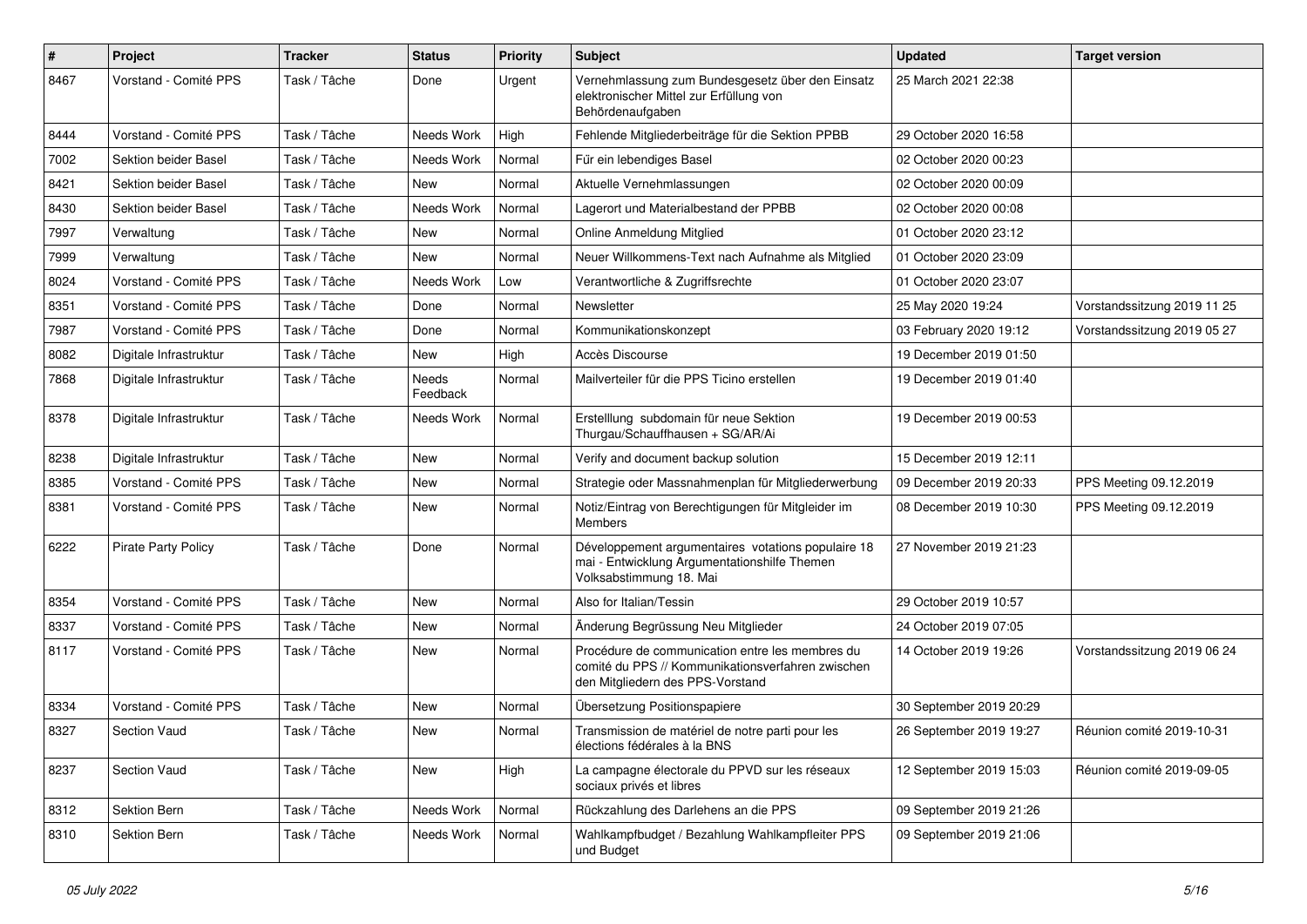| $\#$ | Project                    | <b>Tracker</b> | <b>Status</b>     | <b>Priority</b> | <b>Subject</b>                                                                                                                           | <b>Updated</b>          | <b>Target version</b>       |
|------|----------------------------|----------------|-------------------|-----------------|------------------------------------------------------------------------------------------------------------------------------------------|-------------------------|-----------------------------|
| 8467 | Vorstand - Comité PPS      | Task / Tâche   | Done              | Urgent          | Vernehmlassung zum Bundesgesetz über den Einsatz<br>elektronischer Mittel zur Erfüllung von<br>Behördenaufgaben                          | 25 March 2021 22:38     |                             |
| 8444 | Vorstand - Comité PPS      | Task / Tâche   | Needs Work        | High            | Fehlende Mitgliederbeiträge für die Sektion PPBB                                                                                         | 29 October 2020 16:58   |                             |
| 7002 | Sektion beider Basel       | Task / Tâche   | Needs Work        | Normal          | Für ein lebendiges Basel                                                                                                                 | 02 October 2020 00:23   |                             |
| 8421 | Sektion beider Basel       | Task / Tâche   | New               | Normal          | Aktuelle Vernehmlassungen                                                                                                                | 02 October 2020 00:09   |                             |
| 8430 | Sektion beider Basel       | Task / Tâche   | Needs Work        | Normal          | Lagerort und Materialbestand der PPBB                                                                                                    | 02 October 2020 00:08   |                             |
| 7997 | Verwaltung                 | Task / Tâche   | New               | Normal          | Online Anmeldung Mitglied                                                                                                                | 01 October 2020 23:12   |                             |
| 7999 | Verwaltung                 | Task / Tâche   | New               | Normal          | Neuer Willkommens-Text nach Aufnahme als Mitglied                                                                                        | 01 October 2020 23:09   |                             |
| 8024 | Vorstand - Comité PPS      | Task / Tâche   | Needs Work        | Low             | Verantwortliche & Zugriffsrechte                                                                                                         | 01 October 2020 23:07   |                             |
| 8351 | Vorstand - Comité PPS      | Task / Tâche   | Done              | Normal          | Newsletter                                                                                                                               | 25 May 2020 19:24       | Vorstandssitzung 2019 11 25 |
| 7987 | Vorstand - Comité PPS      | Task / Tâche   | Done              | Normal          | Kommunikationskonzept                                                                                                                    | 03 February 2020 19:12  | Vorstandssitzung 2019 05 27 |
| 8082 | Digitale Infrastruktur     | Task / Tâche   | New               | High            | Accès Discourse                                                                                                                          | 19 December 2019 01:50  |                             |
| 7868 | Digitale Infrastruktur     | Task / Tâche   | Needs<br>Feedback | Normal          | Mailverteiler für die PPS Ticino erstellen                                                                                               | 19 December 2019 01:40  |                             |
| 8378 | Digitale Infrastruktur     | Task / Tâche   | Needs Work        | Normal          | Erstelllung subdomain für neue Sektion<br>Thurgau/Schauffhausen + SG/AR/Ai                                                               | 19 December 2019 00:53  |                             |
| 8238 | Digitale Infrastruktur     | Task / Tâche   | New               | Normal          | Verify and document backup solution                                                                                                      | 15 December 2019 12:11  |                             |
| 8385 | Vorstand - Comité PPS      | Task / Tâche   | New               | Normal          | Strategie oder Massnahmenplan für Mitgliederwerbung                                                                                      | 09 December 2019 20:33  | PPS Meeting 09.12.2019      |
| 8381 | Vorstand - Comité PPS      | Task / Tâche   | New               | Normal          | Notiz/Eintrag von Berechtigungen für Mitgleider im<br><b>Members</b>                                                                     | 08 December 2019 10:30  | PPS Meeting 09.12.2019      |
| 6222 | <b>Pirate Party Policy</b> | Task / Tâche   | Done              | Normal          | Développement argumentaires votations populaire 18<br>mai - Entwicklung Argumentationshilfe Themen<br>Volksabstimmung 18. Mai            | 27 November 2019 21:23  |                             |
| 8354 | Vorstand - Comité PPS      | Task / Tâche   | <b>New</b>        | Normal          | Also for Italian/Tessin                                                                                                                  | 29 October 2019 10:57   |                             |
| 8337 | Vorstand - Comité PPS      | Task / Tâche   | <b>New</b>        | Normal          | Änderung Begrüssung Neu Mitglieder                                                                                                       | 24 October 2019 07:05   |                             |
| 8117 | Vorstand - Comité PPS      | Task / Tâche   | New               | Normal          | Procédure de communication entre les membres du<br>comité du PPS // Kommunikationsverfahren zwischen<br>den Mitgliedern des PPS-Vorstand | 14 October 2019 19:26   | Vorstandssitzung 2019 06 24 |
| 8334 | Vorstand - Comité PPS      | Task / Tâche   | New               | Normal          | Übersetzung Positionspapiere                                                                                                             | 30 September 2019 20:29 |                             |
| 8327 | <b>Section Vaud</b>        | Task / Tâche   | New               | Normal          | Transmission de matériel de notre parti pour les<br>élections fédérales à la BNS                                                         | 26 September 2019 19:27 | Réunion comité 2019-10-31   |
| 8237 | Section Vaud               | Task / Tâche   | New               | High            | La campagne électorale du PPVD sur les réseaux<br>sociaux privés et libres                                                               | 12 September 2019 15:03 | Réunion comité 2019-09-05   |
| 8312 | Sektion Bern               | Task / Tâche   | Needs Work        | Normal          | Rückzahlung des Darlehens an die PPS                                                                                                     | 09 September 2019 21:26 |                             |
| 8310 | Sektion Bern               | Task / Tâche   | Needs Work        | Normal          | Wahlkampfbudget / Bezahlung Wahlkampfleiter PPS<br>und Budget                                                                            | 09 September 2019 21:06 |                             |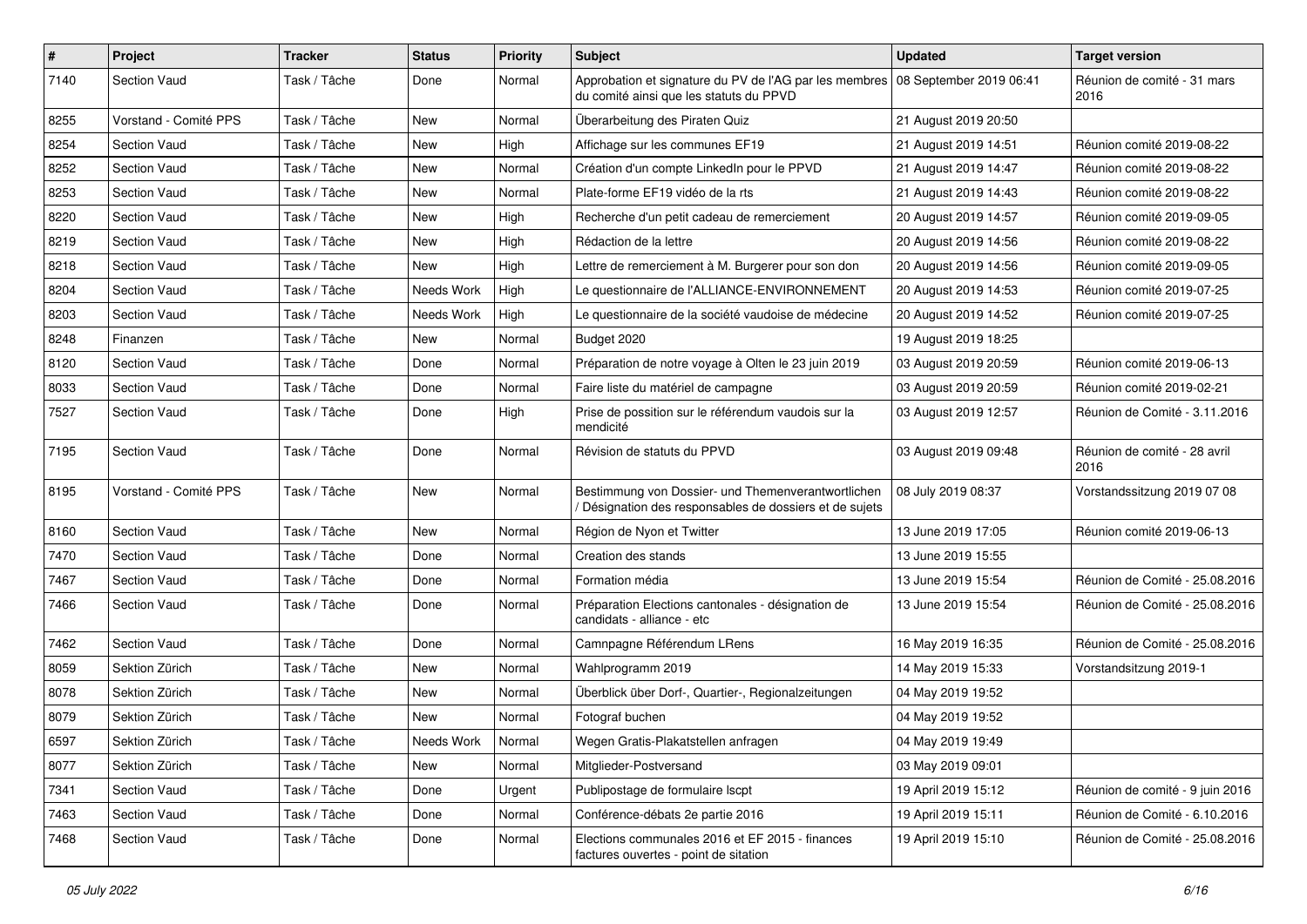| $\pmb{\#}$ | Project               | <b>Tracker</b> | <b>Status</b> | <b>Priority</b> | <b>Subject</b>                                                                                                            | <b>Updated</b>       | <b>Target version</b>                |
|------------|-----------------------|----------------|---------------|-----------------|---------------------------------------------------------------------------------------------------------------------------|----------------------|--------------------------------------|
| 7140       | <b>Section Vaud</b>   | Task / Tâche   | Done          | Normal          | Approbation et signature du PV de l'AG par les membres 08 September 2019 06:41<br>du comité ainsi que les statuts du PPVD |                      | Réunion de comité - 31 mars<br>2016  |
| 8255       | Vorstand - Comité PPS | Task / Tâche   | <b>New</b>    | Normal          | Überarbeitung des Piraten Quiz                                                                                            | 21 August 2019 20:50 |                                      |
| 8254       | <b>Section Vaud</b>   | Task / Tâche   | New           | High            | Affichage sur les communes EF19                                                                                           | 21 August 2019 14:51 | Réunion comité 2019-08-22            |
| 8252       | <b>Section Vaud</b>   | Task / Tâche   | <b>New</b>    | Normal          | Création d'un compte LinkedIn pour le PPVD                                                                                | 21 August 2019 14:47 | Réunion comité 2019-08-22            |
| 8253       | Section Vaud          | Task / Tâche   | New           | Normal          | Plate-forme EF19 vidéo de la rts                                                                                          | 21 August 2019 14:43 | Réunion comité 2019-08-22            |
| 8220       | <b>Section Vaud</b>   | Task / Tâche   | <b>New</b>    | High            | Recherche d'un petit cadeau de remerciement                                                                               | 20 August 2019 14:57 | Réunion comité 2019-09-05            |
| 8219       | <b>Section Vaud</b>   | Task / Tâche   | New           | High            | Rédaction de la lettre                                                                                                    | 20 August 2019 14:56 | Réunion comité 2019-08-22            |
| 8218       | <b>Section Vaud</b>   | Task / Tâche   | New           | High            | Lettre de remerciement à M. Burgerer pour son don                                                                         | 20 August 2019 14:56 | Réunion comité 2019-09-05            |
| 8204       | <b>Section Vaud</b>   | Task / Tâche   | Needs Work    | High            | Le questionnaire de l'ALLIANCE-ENVIRONNEMENT                                                                              | 20 August 2019 14:53 | Réunion comité 2019-07-25            |
| 8203       | <b>Section Vaud</b>   | Task / Tâche   | Needs Work    | High            | Le questionnaire de la société vaudoise de médecine                                                                       | 20 August 2019 14:52 | Réunion comité 2019-07-25            |
| 8248       | Finanzen              | Task / Tâche   | New           | Normal          | Budget 2020                                                                                                               | 19 August 2019 18:25 |                                      |
| 8120       | Section Vaud          | Task / Tâche   | Done          | Normal          | Préparation de notre voyage à Olten le 23 juin 2019                                                                       | 03 August 2019 20:59 | Réunion comité 2019-06-13            |
| 8033       | <b>Section Vaud</b>   | Task / Tâche   | Done          | Normal          | Faire liste du matériel de campagne                                                                                       | 03 August 2019 20:59 | Réunion comité 2019-02-21            |
| 7527       | <b>Section Vaud</b>   | Task / Tâche   | Done          | High            | Prise de possition sur le référendum vaudois sur la<br>mendicité                                                          | 03 August 2019 12:57 | Réunion de Comité - 3.11.2016        |
| 7195       | Section Vaud          | Task / Tâche   | Done          | Normal          | Révision de statuts du PPVD                                                                                               | 03 August 2019 09:48 | Réunion de comité - 28 avril<br>2016 |
| 8195       | Vorstand - Comité PPS | Task / Tâche   | <b>New</b>    | Normal          | Bestimmung von Dossier- und Themenverantwortlichen<br>Désignation des responsables de dossiers et de sujets               | 08 July 2019 08:37   | Vorstandssitzung 2019 07 08          |
| 8160       | <b>Section Vaud</b>   | Task / Tâche   | New           | Normal          | Région de Nyon et Twitter                                                                                                 | 13 June 2019 17:05   | Réunion comité 2019-06-13            |
| 7470       | <b>Section Vaud</b>   | Task / Tâche   | Done          | Normal          | Creation des stands                                                                                                       | 13 June 2019 15:55   |                                      |
| 7467       | <b>Section Vaud</b>   | Task / Tâche   | Done          | Normal          | Formation média                                                                                                           | 13 June 2019 15:54   | Réunion de Comité - 25.08.2016       |
| 7466       | <b>Section Vaud</b>   | Task / Tâche   | Done          | Normal          | Préparation Elections cantonales - désignation de<br>candidats - alliance - etc                                           | 13 June 2019 15:54   | Réunion de Comité - 25.08.2016       |
| 7462       | <b>Section Vaud</b>   | Task / Tâche   | Done          | Normal          | Camnpagne Référendum LRens                                                                                                | 16 May 2019 16:35    | Réunion de Comité - 25.08.2016       |
| 8059       | Sektion Zürich        | Task / Tâche   | <b>New</b>    | Normal          | Wahlprogramm 2019                                                                                                         | 14 May 2019 15:33    | Vorstandsitzung 2019-1               |
| 8078       | Sektion Zürich        | Task / Tâche   | New           | Normal          | Überblick über Dorf-, Quartier-, Regionalzeitungen                                                                        | 04 May 2019 19:52    |                                      |
| 8079       | Sektion Zürich        | Task / Tâche   | <b>New</b>    | Normal          | Fotograf buchen                                                                                                           | 04 May 2019 19:52    |                                      |
| 6597       | Sektion Zürich        | Task / Tâche   | Needs Work    | Normal          | Wegen Gratis-Plakatstellen anfragen                                                                                       | 04 May 2019 19:49    |                                      |
| 8077       | Sektion Zürich        | Task / Tâche   | New           | Normal          | Mitglieder-Postversand                                                                                                    | 03 May 2019 09:01    |                                      |
| 7341       | Section Vaud          | Task / Tâche   | Done          | Urgent          | Publipostage de formulaire Iscpt                                                                                          | 19 April 2019 15:12  | Réunion de comité - 9 juin 2016      |
| 7463       | Section Vaud          | Task / Tâche   | Done          | Normal          | Conférence-débats 2e partie 2016                                                                                          | 19 April 2019 15:11  | Réunion de Comité - 6.10.2016        |
| 7468       | Section Vaud          | Task / Tâche   | Done          | Normal          | Elections communales 2016 et EF 2015 - finances<br>factures ouvertes - point de sitation                                  | 19 April 2019 15:10  | Réunion de Comité - 25.08.2016       |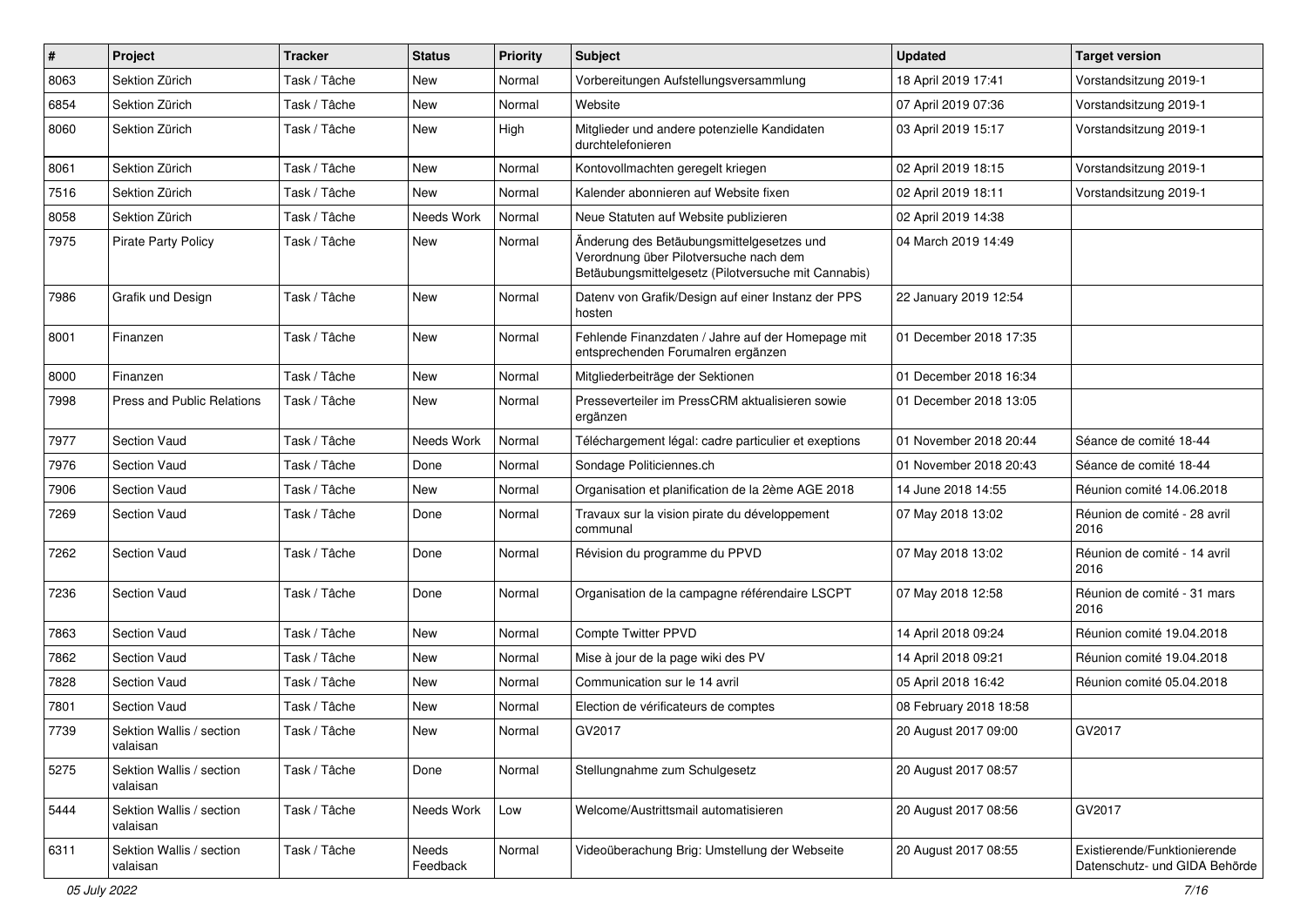| $\pmb{\#}$ | Project                              | <b>Tracker</b> | <b>Status</b>     | <b>Priority</b> | <b>Subject</b>                                                                                                                             | <b>Updated</b>         | <b>Target version</b>                                         |
|------------|--------------------------------------|----------------|-------------------|-----------------|--------------------------------------------------------------------------------------------------------------------------------------------|------------------------|---------------------------------------------------------------|
| 8063       | Sektion Zürich                       | Task / Tâche   | <b>New</b>        | Normal          | Vorbereitungen Aufstellungsversammlung                                                                                                     | 18 April 2019 17:41    | Vorstandsitzung 2019-1                                        |
| 6854       | Sektion Zürich                       | Task / Tâche   | <b>New</b>        | Normal          | Website                                                                                                                                    | 07 April 2019 07:36    | Vorstandsitzung 2019-1                                        |
| 8060       | Sektion Zürich                       | Task / Tâche   | New               | High            | Mitglieder und andere potenzielle Kandidaten<br>durchtelefonieren                                                                          | 03 April 2019 15:17    | Vorstandsitzung 2019-1                                        |
| 8061       | Sektion Zürich                       | Task / Tâche   | <b>New</b>        | Normal          | Kontovollmachten geregelt kriegen                                                                                                          | 02 April 2019 18:15    | Vorstandsitzung 2019-1                                        |
| 7516       | Sektion Zürich                       | Task / Tâche   | New               | Normal          | Kalender abonnieren auf Website fixen                                                                                                      | 02 April 2019 18:11    | Vorstandsitzung 2019-1                                        |
| 8058       | Sektion Zürich                       | Task / Tâche   | Needs Work        | Normal          | Neue Statuten auf Website publizieren                                                                                                      | 02 April 2019 14:38    |                                                               |
| 7975       | <b>Pirate Party Policy</b>           | Task / Tâche   | New               | Normal          | Änderung des Betäubungsmittelgesetzes und<br>Verordnung über Pilotversuche nach dem<br>Betäubungsmittelgesetz (Pilotversuche mit Cannabis) | 04 March 2019 14:49    |                                                               |
| 7986       | Grafik und Design                    | Task / Tâche   | <b>New</b>        | Normal          | Datenv von Grafik/Design auf einer Instanz der PPS<br>hosten                                                                               | 22 January 2019 12:54  |                                                               |
| 8001       | Finanzen                             | Task / Tâche   | <b>New</b>        | Normal          | Fehlende Finanzdaten / Jahre auf der Homepage mit<br>entsprechenden Forumalren ergänzen                                                    | 01 December 2018 17:35 |                                                               |
| 8000       | Finanzen                             | Task / Tâche   | New               | Normal          | Mitgliederbeiträge der Sektionen                                                                                                           | 01 December 2018 16:34 |                                                               |
| 7998       | <b>Press and Public Relations</b>    | Task / Tâche   | <b>New</b>        | Normal          | Presseverteiler im PressCRM aktualisieren sowie<br>ergänzen                                                                                | 01 December 2018 13:05 |                                                               |
| 7977       | <b>Section Vaud</b>                  | Task / Tâche   | Needs Work        | Normal          | Téléchargement légal: cadre particulier et exeptions                                                                                       | 01 November 2018 20:44 | Séance de comité 18-44                                        |
| 7976       | <b>Section Vaud</b>                  | Task / Tâche   | Done              | Normal          | Sondage Politiciennes.ch                                                                                                                   | 01 November 2018 20:43 | Séance de comité 18-44                                        |
| 7906       | <b>Section Vaud</b>                  | Task / Tâche   | <b>New</b>        | Normal          | Organisation et planification de la 2ème AGE 2018                                                                                          | 14 June 2018 14:55     | Réunion comité 14.06.2018                                     |
| 7269       | <b>Section Vaud</b>                  | Task / Tâche   | Done              | Normal          | Travaux sur la vision pirate du développement<br>communal                                                                                  | 07 May 2018 13:02      | Réunion de comité - 28 avril<br>2016                          |
| 7262       | <b>Section Vaud</b>                  | Task / Tâche   | Done              | Normal          | Révision du programme du PPVD                                                                                                              | 07 May 2018 13:02      | Réunion de comité - 14 avril<br>2016                          |
| 7236       | <b>Section Vaud</b>                  | Task / Tâche   | Done              | Normal          | Organisation de la campagne référendaire LSCPT                                                                                             | 07 May 2018 12:58      | Réunion de comité - 31 mars<br>2016                           |
| 7863       | Section Vaud                         | Task / Tâche   | <b>New</b>        | Normal          | Compte Twitter PPVD                                                                                                                        | 14 April 2018 09:24    | Réunion comité 19.04.2018                                     |
| 7862       | <b>Section Vaud</b>                  | Task / Tâche   | <b>New</b>        | Normal          | Mise à jour de la page wiki des PV                                                                                                         | 14 April 2018 09:21    | Réunion comité 19.04.2018                                     |
| 7828       | <b>Section Vaud</b>                  | Task / Tâche   | <b>New</b>        | Normal          | Communication sur le 14 avril                                                                                                              | 05 April 2018 16:42    | Réunion comité 05.04.2018                                     |
| 7801       | <b>Section Vaud</b>                  | Task / Tâche   | New               | Normal          | Election de vérificateurs de comptes                                                                                                       | 08 February 2018 18:58 |                                                               |
| 7739       | Sektion Wallis / section<br>valaisan | Task / Tâche   | New               | Normal          | GV2017                                                                                                                                     | 20 August 2017 09:00   | GV2017                                                        |
| 5275       | Sektion Wallis / section<br>valaisan | Task / Tâche   | Done              | Normal          | Stellungnahme zum Schulgesetz                                                                                                              | 20 August 2017 08:57   |                                                               |
| 5444       | Sektion Wallis / section<br>valaisan | Task / Tâche   | Needs Work        | Low             | Welcome/Austrittsmail automatisieren                                                                                                       | 20 August 2017 08:56   | GV2017                                                        |
| 6311       | Sektion Wallis / section<br>valaisan | Task / Tâche   | Needs<br>Feedback | Normal          | Videoüberachung Brig: Umstellung der Webseite                                                                                              | 20 August 2017 08:55   | Existierende/Funktionierende<br>Datenschutz- und GIDA Behörde |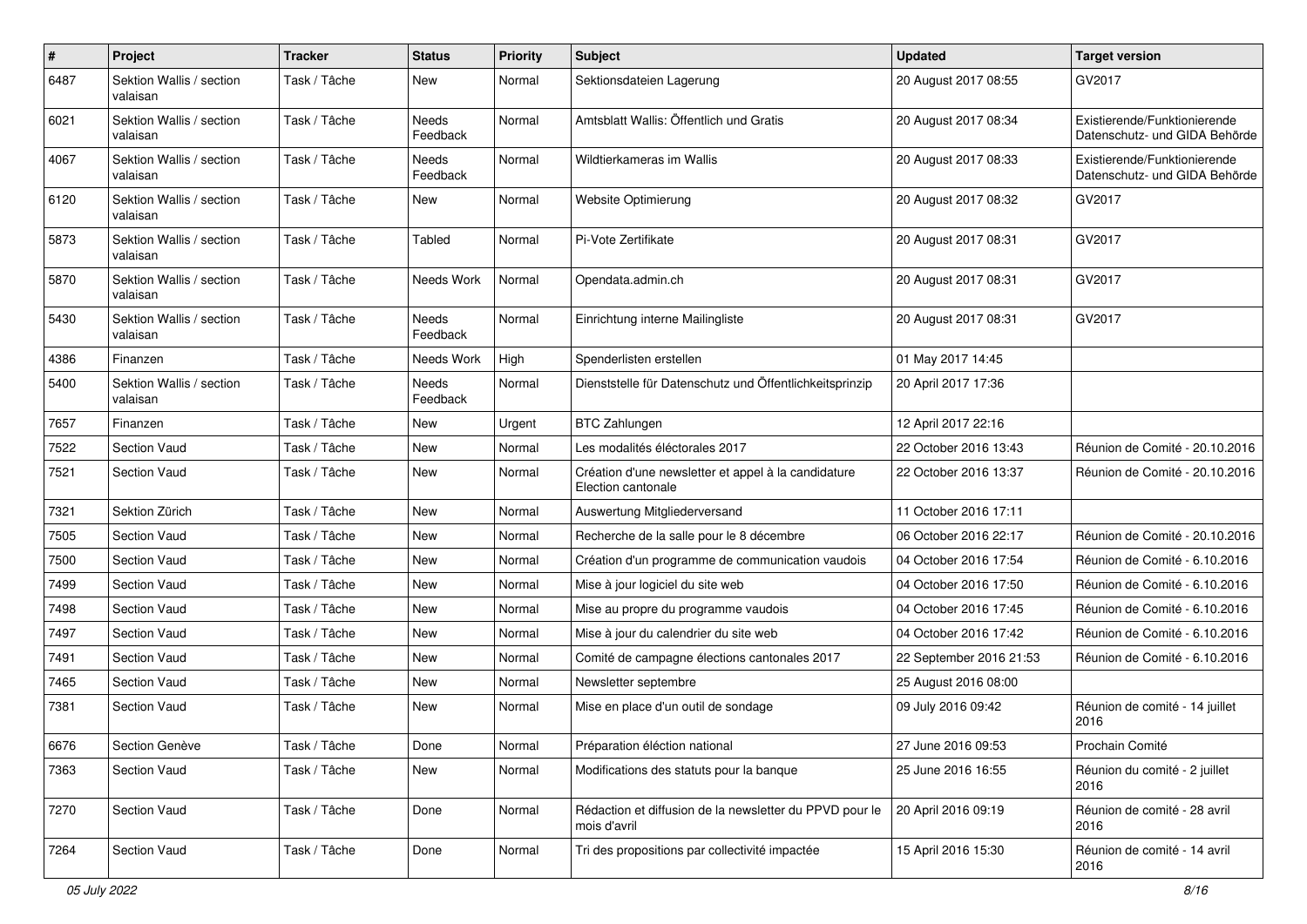| #    | Project                              | <b>Tracker</b> | <b>Status</b>     | <b>Priority</b> | Subject                                                                   | <b>Updated</b>          | <b>Target version</b>                                         |
|------|--------------------------------------|----------------|-------------------|-----------------|---------------------------------------------------------------------------|-------------------------|---------------------------------------------------------------|
| 6487 | Sektion Wallis / section<br>valaisan | Task / Tâche   | New               | Normal          | Sektionsdateien Lagerung                                                  | 20 August 2017 08:55    | GV2017                                                        |
| 6021 | Sektion Wallis / section<br>valaisan | Task / Tâche   | Needs<br>Feedback | Normal          | Amtsblatt Wallis: Öffentlich und Gratis                                   | 20 August 2017 08:34    | Existierende/Funktionierende<br>Datenschutz- und GIDA Behörde |
| 4067 | Sektion Wallis / section<br>valaisan | Task / Tâche   | Needs<br>Feedback | Normal          | Wildtierkameras im Wallis                                                 | 20 August 2017 08:33    | Existierende/Funktionierende<br>Datenschutz- und GIDA Behörde |
| 6120 | Sektion Wallis / section<br>valaisan | Task / Tâche   | New               | Normal          | Website Optimierung                                                       | 20 August 2017 08:32    | GV2017                                                        |
| 5873 | Sektion Wallis / section<br>valaisan | Task / Tâche   | Tabled            | Normal          | Pi-Vote Zertifikate                                                       | 20 August 2017 08:31    | GV2017                                                        |
| 5870 | Sektion Wallis / section<br>valaisan | Task / Tâche   | Needs Work        | Normal          | Opendata.admin.ch                                                         | 20 August 2017 08:31    | GV2017                                                        |
| 5430 | Sektion Wallis / section<br>valaisan | Task / Tâche   | Needs<br>Feedback | Normal          | Einrichtung interne Mailingliste                                          | 20 August 2017 08:31    | GV2017                                                        |
| 4386 | Finanzen                             | Task / Tâche   | Needs Work        | High            | Spenderlisten erstellen                                                   | 01 May 2017 14:45       |                                                               |
| 5400 | Sektion Wallis / section<br>valaisan | Task / Tâche   | Needs<br>Feedback | Normal          | Dienststelle für Datenschutz und Öffentlichkeitsprinzip                   | 20 April 2017 17:36     |                                                               |
| 7657 | Finanzen                             | Task / Tâche   | <b>New</b>        | Urgent          | <b>BTC Zahlungen</b>                                                      | 12 April 2017 22:16     |                                                               |
| 7522 | Section Vaud                         | Task / Tâche   | New               | Normal          | Les modalités éléctorales 2017                                            | 22 October 2016 13:43   | Réunion de Comité - 20.10.2016                                |
| 7521 | <b>Section Vaud</b>                  | Task / Tâche   | New               | Normal          | Création d'une newsletter et appel à la candidature<br>Election cantonale | 22 October 2016 13:37   | Réunion de Comité - 20.10.2016                                |
| 7321 | Sektion Zürich                       | Task / Tâche   | <b>New</b>        | Normal          | Auswertung Mitgliederversand                                              | 11 October 2016 17:11   |                                                               |
| 7505 | <b>Section Vaud</b>                  | Task / Tâche   | New               | Normal          | Recherche de la salle pour le 8 décembre                                  | 06 October 2016 22:17   | Réunion de Comité - 20.10.2016                                |
| 7500 | <b>Section Vaud</b>                  | Task / Tâche   | New               | Normal          | Création d'un programme de communication vaudois                          | 04 October 2016 17:54   | Réunion de Comité - 6.10.2016                                 |
| 7499 | <b>Section Vaud</b>                  | Task / Tâche   | New               | Normal          | Mise à jour logiciel du site web                                          | 04 October 2016 17:50   | Réunion de Comité - 6.10.2016                                 |
| 7498 | <b>Section Vaud</b>                  | Task / Tâche   | <b>New</b>        | Normal          | Mise au propre du programme vaudois                                       | 04 October 2016 17:45   | Réunion de Comité - 6.10.2016                                 |
| 7497 | <b>Section Vaud</b>                  | Task / Tâche   | New               | Normal          | Mise à jour du calendrier du site web                                     | 04 October 2016 17:42   | Réunion de Comité - 6.10.2016                                 |
| 7491 | <b>Section Vaud</b>                  | Task / Tâche   | New               | Normal          | Comité de campagne élections cantonales 2017                              | 22 September 2016 21:53 | Réunion de Comité - 6.10.2016                                 |
| 7465 | <b>Section Vaud</b>                  | Task / Tâche   | <b>New</b>        | Normal          | Newsletter septembre                                                      | 25 August 2016 08:00    |                                                               |
| 7381 | <b>Section Vaud</b>                  | Task / Tâche   | New               | Normal          | Mise en place d'un outil de sondage                                       | 09 July 2016 09:42      | Réunion de comité - 14 juillet<br>2016                        |
| 6676 | Section Genève                       | Task / Tâche   | Done              | Normal          | Préparation éléction national                                             | 27 June 2016 09:53      | Prochain Comité                                               |
| 7363 | Section Vaud                         | Task / Tâche   | New               | Normal          | Modifications des statuts pour la banque                                  | 25 June 2016 16:55      | Réunion du comité - 2 juillet<br>2016                         |
| 7270 | Section Vaud                         | Task / Tâche   | Done              | Normal          | Rédaction et diffusion de la newsletter du PPVD pour le<br>mois d'avril   | 20 April 2016 09:19     | Réunion de comité - 28 avril<br>2016                          |
| 7264 | Section Vaud                         | Task / Tâche   | Done              | Normal          | Tri des propositions par collectivité impactée                            | 15 April 2016 15:30     | Réunion de comité - 14 avril<br>2016                          |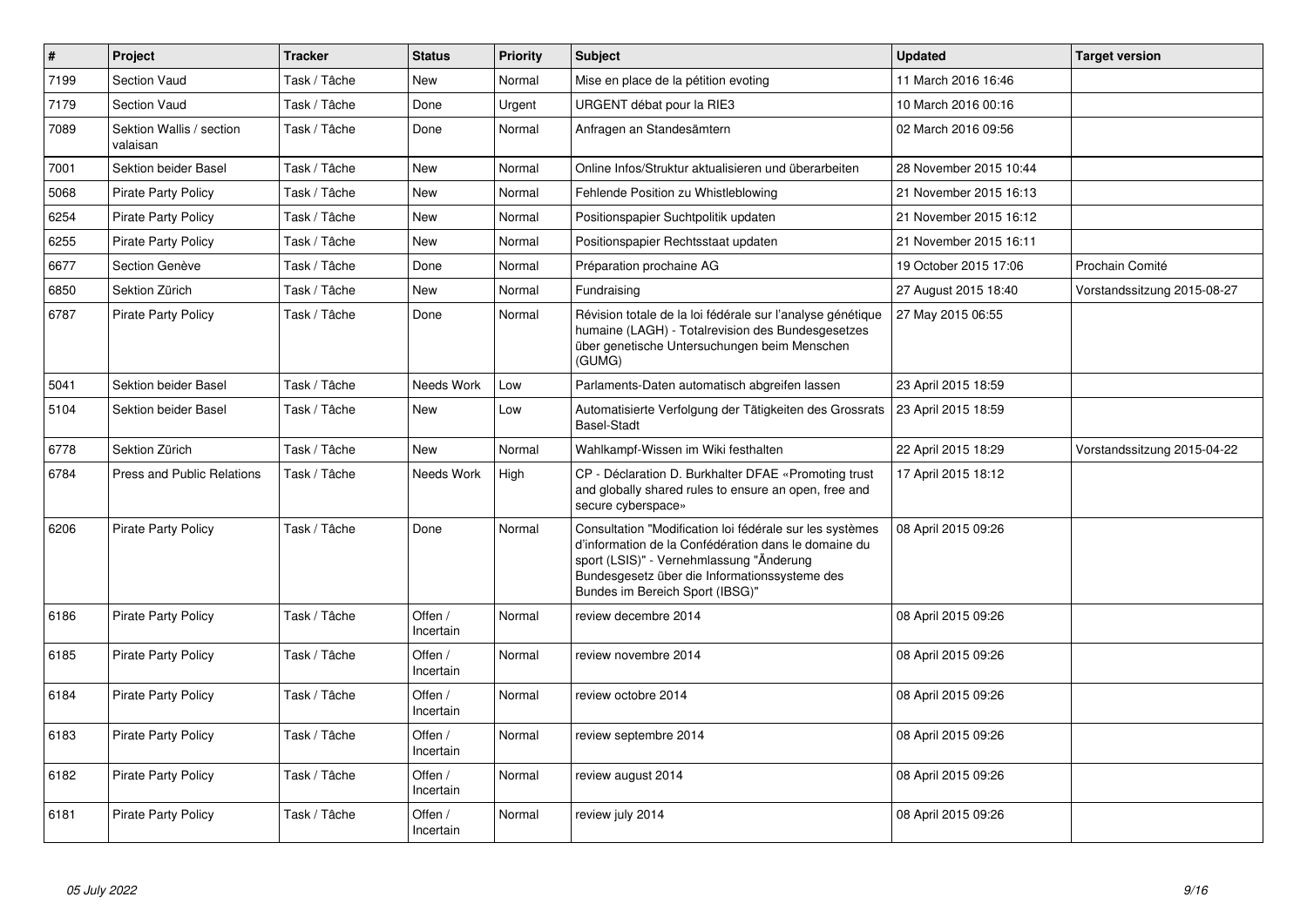| $\vert$ # | Project                              | <b>Tracker</b> | <b>Status</b>        | <b>Priority</b> | <b>Subject</b>                                                                                                                                                                                                                                   | <b>Updated</b>         | <b>Target version</b>       |
|-----------|--------------------------------------|----------------|----------------------|-----------------|--------------------------------------------------------------------------------------------------------------------------------------------------------------------------------------------------------------------------------------------------|------------------------|-----------------------------|
| 7199      | <b>Section Vaud</b>                  | Task / Tâche   | <b>New</b>           | Normal          | Mise en place de la pétition evoting                                                                                                                                                                                                             | 11 March 2016 16:46    |                             |
| 7179      | <b>Section Vaud</b>                  | Task / Tâche   | Done                 | Urgent          | URGENT débat pour la RIE3                                                                                                                                                                                                                        | 10 March 2016 00:16    |                             |
| 7089      | Sektion Wallis / section<br>valaisan | Task / Tâche   | Done                 | Normal          | Anfragen an Standesämtern                                                                                                                                                                                                                        | 02 March 2016 09:56    |                             |
| 7001      | Sektion beider Basel                 | Task / Tâche   | <b>New</b>           | Normal          | Online Infos/Struktur aktualisieren und überarbeiten                                                                                                                                                                                             | 28 November 2015 10:44 |                             |
| 5068      | <b>Pirate Party Policy</b>           | Task / Tâche   | <b>New</b>           | Normal          | Fehlende Position zu Whistleblowing                                                                                                                                                                                                              | 21 November 2015 16:13 |                             |
| 6254      | <b>Pirate Party Policy</b>           | Task / Tâche   | <b>New</b>           | Normal          | Positionspapier Suchtpolitik updaten                                                                                                                                                                                                             | 21 November 2015 16:12 |                             |
| 6255      | <b>Pirate Party Policy</b>           | Task / Tâche   | <b>New</b>           | Normal          | Positionspapier Rechtsstaat updaten                                                                                                                                                                                                              | 21 November 2015 16:11 |                             |
| 6677      | Section Genève                       | Task / Tâche   | Done                 | Normal          | Préparation prochaine AG                                                                                                                                                                                                                         | 19 October 2015 17:06  | Prochain Comité             |
| 6850      | Sektion Zürich                       | Task / Tâche   | New                  | Normal          | Fundraising                                                                                                                                                                                                                                      | 27 August 2015 18:40   | Vorstandssitzung 2015-08-27 |
| 6787      | <b>Pirate Party Policy</b>           | Task / Tâche   | Done                 | Normal          | Révision totale de la loi fédérale sur l'analyse génétique<br>humaine (LAGH) - Totalrevision des Bundesgesetzes<br>über genetische Untersuchungen beim Menschen<br>(GUMG)                                                                        | 27 May 2015 06:55      |                             |
| 5041      | Sektion beider Basel                 | Task / Tâche   | Needs Work           | Low             | Parlaments-Daten automatisch abgreifen lassen                                                                                                                                                                                                    | 23 April 2015 18:59    |                             |
| 5104      | Sektion beider Basel                 | Task / Tâche   | <b>New</b>           | Low             | Automatisierte Verfolgung der Tätigkeiten des Grossrats<br><b>Basel-Stadt</b>                                                                                                                                                                    | 23 April 2015 18:59    |                             |
| 6778      | Sektion Zürich                       | Task / Tâche   | New                  | Normal          | Wahlkampf-Wissen im Wiki festhalten                                                                                                                                                                                                              | 22 April 2015 18:29    | Vorstandssitzung 2015-04-22 |
| 6784      | <b>Press and Public Relations</b>    | Task / Tâche   | Needs Work           | High            | CP - Déclaration D. Burkhalter DFAE «Promoting trust<br>and globally shared rules to ensure an open, free and<br>secure cyberspace»                                                                                                              | 17 April 2015 18:12    |                             |
| 6206      | <b>Pirate Party Policy</b>           | Task / Tâche   | Done                 | Normal          | Consultation "Modification loi fédérale sur les systèmes<br>d'information de la Confédération dans le domaine du<br>sport (LSIS)" - Vernehmlassung "Änderung<br>Bundesgesetz über die Informationssysteme des<br>Bundes im Bereich Sport (IBSG)" | 08 April 2015 09:26    |                             |
| 6186      | <b>Pirate Party Policy</b>           | Task / Tâche   | Offen /<br>Incertain | Normal          | review decembre 2014                                                                                                                                                                                                                             | 08 April 2015 09:26    |                             |
| 6185      | <b>Pirate Party Policy</b>           | Task / Tâche   | Offen /<br>Incertain | Normal          | review novembre 2014                                                                                                                                                                                                                             | 08 April 2015 09:26    |                             |
| 6184      | <b>Pirate Party Policy</b>           | Task / Tâche   | Offen /<br>Incertain | Normal          | review octobre 2014                                                                                                                                                                                                                              | 08 April 2015 09:26    |                             |
| 6183      | <b>Pirate Party Policy</b>           | Task / Tâche   | Offen /<br>Incertain | Normal          | review septembre 2014                                                                                                                                                                                                                            | 08 April 2015 09:26    |                             |
| 6182      | <b>Pirate Party Policy</b>           | Task / Tâche   | Offen /<br>Incertain | Normal          | review august 2014                                                                                                                                                                                                                               | 08 April 2015 09:26    |                             |
| 6181      | <b>Pirate Party Policy</b>           | Task / Tâche   | Offen /<br>Incertain | Normal          | review july 2014                                                                                                                                                                                                                                 | 08 April 2015 09:26    |                             |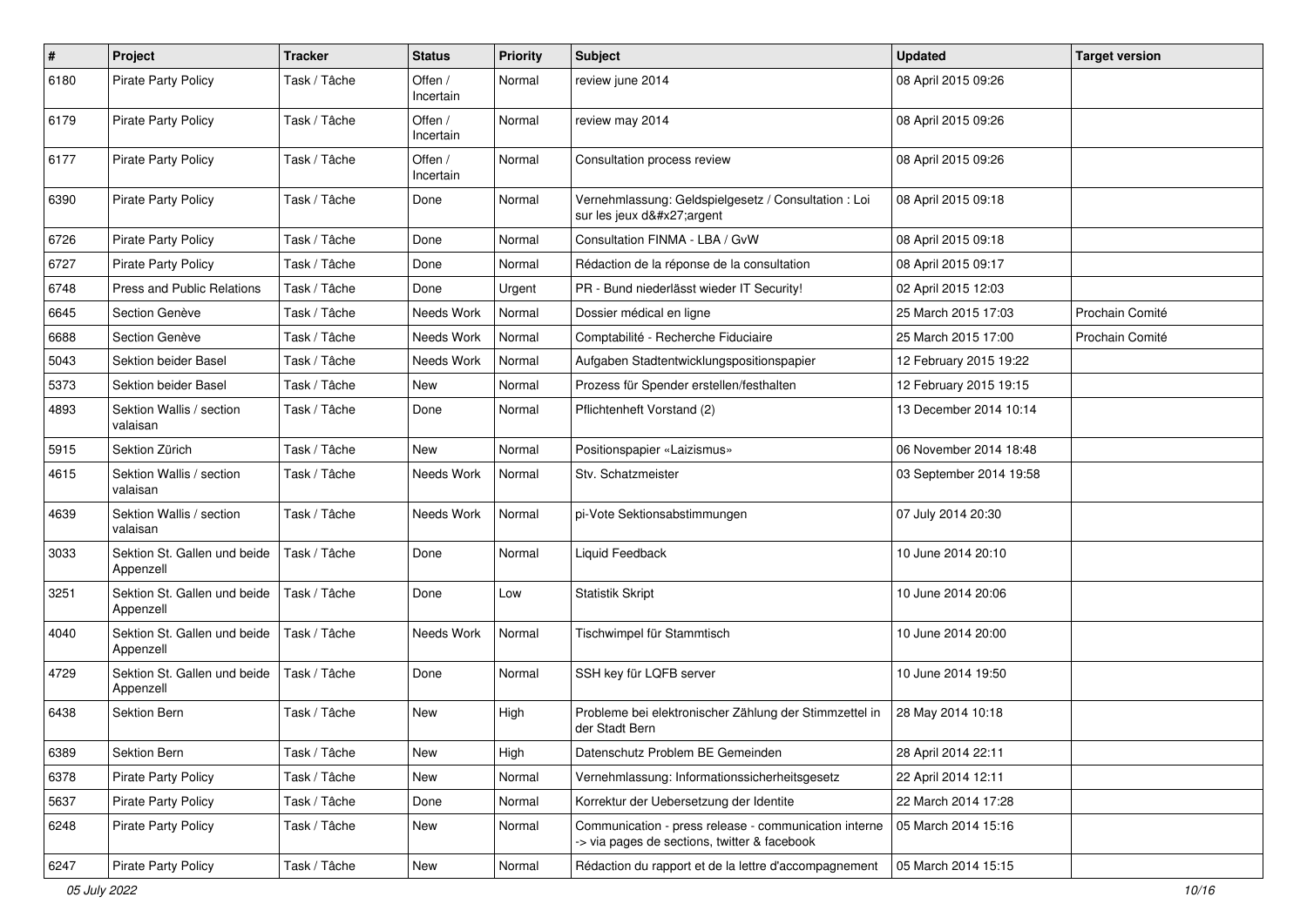| $\#$ | Project                                   | <b>Tracker</b> | <b>Status</b>        | <b>Priority</b> | Subject                                                                                               | <b>Updated</b>          | <b>Target version</b> |
|------|-------------------------------------------|----------------|----------------------|-----------------|-------------------------------------------------------------------------------------------------------|-------------------------|-----------------------|
| 6180 | <b>Pirate Party Policy</b>                | Task / Tâche   | Offen /<br>Incertain | Normal          | review june 2014                                                                                      | 08 April 2015 09:26     |                       |
| 6179 | <b>Pirate Party Policy</b>                | Task / Tâche   | Offen /<br>Incertain | Normal          | review may 2014                                                                                       | 08 April 2015 09:26     |                       |
| 6177 | <b>Pirate Party Policy</b>                | Task / Tâche   | Offen /<br>Incertain | Normal          | Consultation process review                                                                           | 08 April 2015 09:26     |                       |
| 6390 | <b>Pirate Party Policy</b>                | Task / Tâche   | Done                 | Normal          | Vernehmlassung: Geldspielgesetz / Consultation : Loi<br>sur les jeux d'argent                         | 08 April 2015 09:18     |                       |
| 6726 | <b>Pirate Party Policy</b>                | Task / Tâche   | Done                 | Normal          | Consultation FINMA - LBA / GvW                                                                        | 08 April 2015 09:18     |                       |
| 6727 | <b>Pirate Party Policy</b>                | Task / Tâche   | Done                 | Normal          | Rédaction de la réponse de la consultation                                                            | 08 April 2015 09:17     |                       |
| 6748 | Press and Public Relations                | Task / Tâche   | Done                 | Urgent          | PR - Bund niederlässt wieder IT Security!                                                             | 02 April 2015 12:03     |                       |
| 6645 | Section Genève                            | Task / Tâche   | Needs Work           | Normal          | Dossier médical en ligne                                                                              | 25 March 2015 17:03     | Prochain Comité       |
| 6688 | Section Genève                            | Task / Tâche   | Needs Work           | Normal          | Comptabilité - Recherche Fiduciaire                                                                   | 25 March 2015 17:00     | Prochain Comité       |
| 5043 | Sektion beider Basel                      | Task / Tâche   | Needs Work           | Normal          | Aufgaben Stadtentwicklungspositionspapier                                                             | 12 February 2015 19:22  |                       |
| 5373 | Sektion beider Basel                      | Task / Tâche   | <b>New</b>           | Normal          | Prozess für Spender erstellen/festhalten                                                              | 12 February 2015 19:15  |                       |
| 4893 | Sektion Wallis / section<br>valaisan      | Task / Tâche   | Done                 | Normal          | Pflichtenheft Vorstand (2)                                                                            | 13 December 2014 10:14  |                       |
| 5915 | Sektion Zürich                            | Task / Tâche   | <b>New</b>           | Normal          | Positionspapier «Laizismus»                                                                           | 06 November 2014 18:48  |                       |
| 4615 | Sektion Wallis / section<br>valaisan      | Task / Tâche   | Needs Work           | Normal          | Stv. Schatzmeister                                                                                    | 03 September 2014 19:58 |                       |
| 4639 | Sektion Wallis / section<br>valaisan      | Task / Tâche   | Needs Work           | Normal          | pi-Vote Sektionsabstimmungen                                                                          | 07 July 2014 20:30      |                       |
| 3033 | Sektion St. Gallen und beide<br>Appenzell | Task / Tâche   | Done                 | Normal          | Liquid Feedback                                                                                       | 10 June 2014 20:10      |                       |
| 3251 | Sektion St. Gallen und beide<br>Appenzell | Task / Tâche   | Done                 | Low             | <b>Statistik Skript</b>                                                                               | 10 June 2014 20:06      |                       |
| 4040 | Sektion St. Gallen und beide<br>Appenzell | Task / Tâche   | Needs Work           | Normal          | Tischwimpel für Stammtisch                                                                            | 10 June 2014 20:00      |                       |
| 4729 | Sektion St. Gallen und beide<br>Appenzell | Task / Tâche   | Done                 | Normal          | SSH key für LQFB server                                                                               | 10 June 2014 19:50      |                       |
| 6438 | <b>Sektion Bern</b>                       | Task / Tâche   | New                  | High            | Probleme bei elektronischer Zählung der Stimmzettel in<br>der Stadt Bern                              | 28 May 2014 10:18       |                       |
| 6389 | Sektion Bern                              | Task / Tâche   | New                  | High            | Datenschutz Problem BE Gemeinden                                                                      | 28 April 2014 22:11     |                       |
| 6378 | Pirate Party Policy                       | Task / Tâche   | New                  | Normal          | Vernehmlassung: Informationssicherheitsgesetz                                                         | 22 April 2014 12:11     |                       |
| 5637 | <b>Pirate Party Policy</b>                | Task / Tâche   | Done                 | Normal          | Korrektur der Uebersetzung der Identite                                                               | 22 March 2014 17:28     |                       |
| 6248 | <b>Pirate Party Policy</b>                | Task / Tâche   | New                  | Normal          | Communication - press release - communication interne<br>-> via pages de sections, twitter & facebook | 05 March 2014 15:16     |                       |
| 6247 | Pirate Party Policy                       | Task / Tâche   | New                  | Normal          | Rédaction du rapport et de la lettre d'accompagnement                                                 | 05 March 2014 15:15     |                       |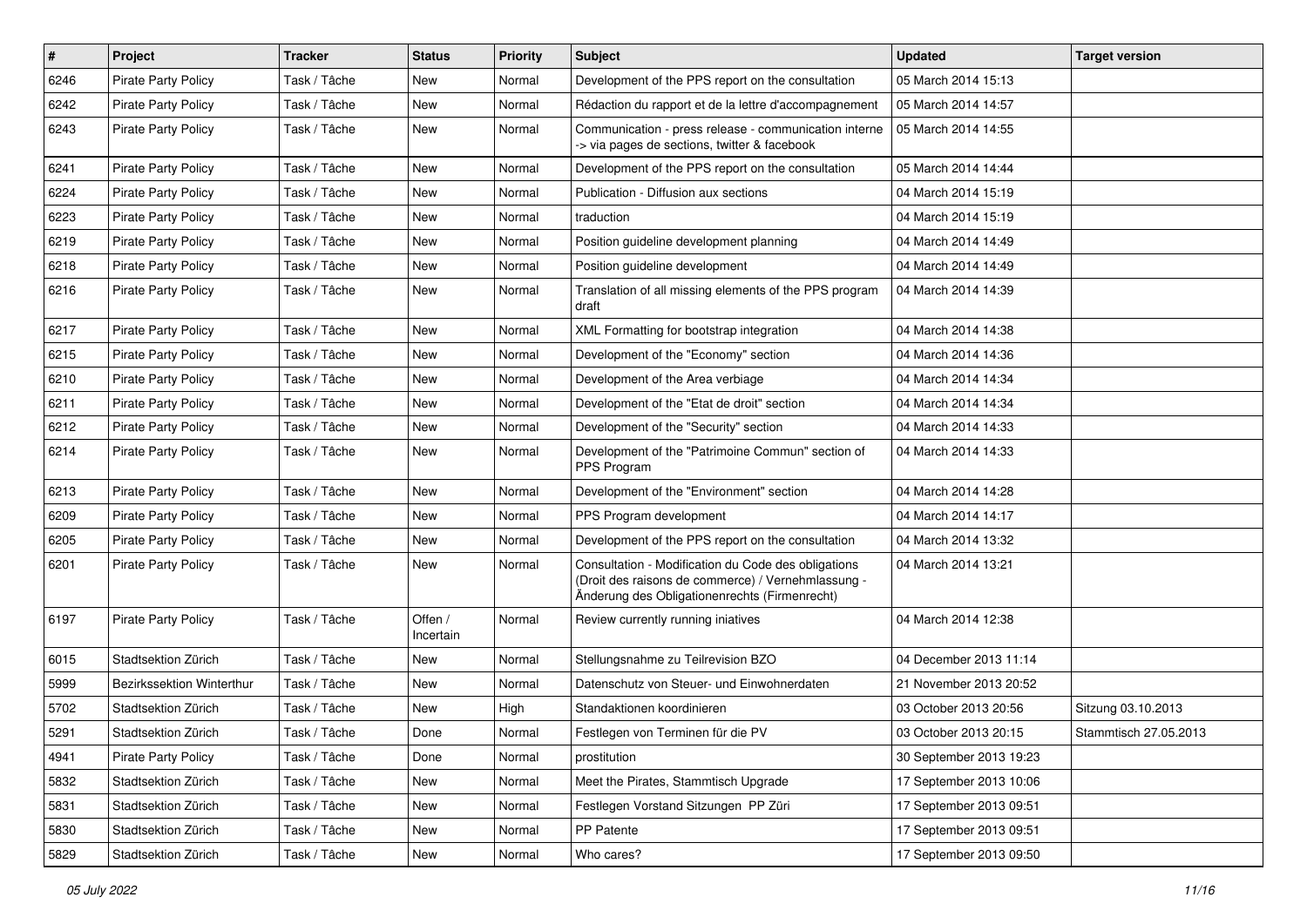| $\pmb{\#}$ | <b>Project</b>             | <b>Tracker</b> | <b>Status</b>        | <b>Priority</b> | <b>Subject</b>                                                                                                                                             | <b>Updated</b>          | <b>Target version</b> |
|------------|----------------------------|----------------|----------------------|-----------------|------------------------------------------------------------------------------------------------------------------------------------------------------------|-------------------------|-----------------------|
| 6246       | <b>Pirate Party Policy</b> | Task / Tâche   | New                  | Normal          | Development of the PPS report on the consultation                                                                                                          | 05 March 2014 15:13     |                       |
| 6242       | <b>Pirate Party Policy</b> | Task / Tâche   | <b>New</b>           | Normal          | Rédaction du rapport et de la lettre d'accompagnement                                                                                                      | 05 March 2014 14:57     |                       |
| 6243       | <b>Pirate Party Policy</b> | Task / Tâche   | New                  | Normal          | Communication - press release - communication interne<br>-> via pages de sections, twitter & facebook                                                      | 05 March 2014 14:55     |                       |
| 6241       | <b>Pirate Party Policy</b> | Task / Tâche   | <b>New</b>           | Normal          | Development of the PPS report on the consultation                                                                                                          | 05 March 2014 14:44     |                       |
| 6224       | <b>Pirate Party Policy</b> | Task / Tâche   | New                  | Normal          | Publication - Diffusion aux sections                                                                                                                       | 04 March 2014 15:19     |                       |
| 6223       | <b>Pirate Party Policy</b> | Task / Tâche   | New                  | Normal          | traduction                                                                                                                                                 | 04 March 2014 15:19     |                       |
| 6219       | <b>Pirate Party Policy</b> | Task / Tâche   | New                  | Normal          | Position guideline development planning                                                                                                                    | 04 March 2014 14:49     |                       |
| 6218       | Pirate Party Policy        | Task / Tâche   | New                  | Normal          | Position guideline development                                                                                                                             | 04 March 2014 14:49     |                       |
| 6216       | <b>Pirate Party Policy</b> | Task / Tâche   | <b>New</b>           | Normal          | Translation of all missing elements of the PPS program<br>draft                                                                                            | 04 March 2014 14:39     |                       |
| 6217       | <b>Pirate Party Policy</b> | Task / Tâche   | New                  | Normal          | XML Formatting for bootstrap integration                                                                                                                   | 04 March 2014 14:38     |                       |
| 6215       | <b>Pirate Party Policy</b> | Task / Tâche   | New                  | Normal          | Development of the "Economy" section                                                                                                                       | 04 March 2014 14:36     |                       |
| 6210       | <b>Pirate Party Policy</b> | Task / Tâche   | New                  | Normal          | Development of the Area verbiage                                                                                                                           | 04 March 2014 14:34     |                       |
| 6211       | <b>Pirate Party Policy</b> | Task / Tâche   | New                  | Normal          | Development of the "Etat de droit" section                                                                                                                 | 04 March 2014 14:34     |                       |
| 6212       | <b>Pirate Party Policy</b> | Task / Tâche   | New                  | Normal          | Development of the "Security" section                                                                                                                      | 04 March 2014 14:33     |                       |
| 6214       | Pirate Party Policy        | Task / Tâche   | New                  | Normal          | Development of the "Patrimoine Commun" section of<br>PPS Program                                                                                           | 04 March 2014 14:33     |                       |
| 6213       | <b>Pirate Party Policy</b> | Task / Tâche   | New                  | Normal          | Development of the "Environment" section                                                                                                                   | 04 March 2014 14:28     |                       |
| 6209       | <b>Pirate Party Policy</b> | Task / Tâche   | New                  | Normal          | PPS Program development                                                                                                                                    | 04 March 2014 14:17     |                       |
| 6205       | Pirate Party Policy        | Task / Tâche   | New                  | Normal          | Development of the PPS report on the consultation                                                                                                          | 04 March 2014 13:32     |                       |
| 6201       | <b>Pirate Party Policy</b> | Task / Tâche   | New                  | Normal          | Consultation - Modification du Code des obligations<br>(Droit des raisons de commerce) / Vernehmlassung -<br>Änderung des Obligationenrechts (Firmenrecht) | 04 March 2014 13:21     |                       |
| 6197       | <b>Pirate Party Policy</b> | Task / Tâche   | Offen /<br>Incertain | Normal          | Review currently running iniatives                                                                                                                         | 04 March 2014 12:38     |                       |
| 6015       | Stadtsektion Zürich        | Task / Tâche   | New                  | Normal          | Stellungsnahme zu Teilrevision BZO                                                                                                                         | 04 December 2013 11:14  |                       |
| 5999       | Bezirkssektion Winterthur  | Task / Tâche   | New                  | Normal          | Datenschutz von Steuer- und Einwohnerdaten                                                                                                                 | 21 November 2013 20:52  |                       |
| 5702       | Stadtsektion Zürich        | Task / Tâche   | New                  | High            | Standaktionen koordinieren                                                                                                                                 | 03 October 2013 20:56   | Sitzung 03.10.2013    |
| 5291       | Stadtsektion Zürich        | Task / Tâche   | Done                 | Normal          | Festlegen von Terminen für die PV                                                                                                                          | 03 October 2013 20:15   | Stammtisch 27.05.2013 |
| 4941       | <b>Pirate Party Policy</b> | Task / Tâche   | Done                 | Normal          | prostitution                                                                                                                                               | 30 September 2013 19:23 |                       |
| 5832       | Stadtsektion Zürich        | Task / Tâche   | New                  | Normal          | Meet the Pirates, Stammtisch Upgrade                                                                                                                       | 17 September 2013 10:06 |                       |
| 5831       | Stadtsektion Zürich        | Task / Tâche   | New                  | Normal          | Festlegen Vorstand Sitzungen PP Züri                                                                                                                       | 17 September 2013 09:51 |                       |
| 5830       | Stadtsektion Zürich        | Task / Tâche   | New                  | Normal          | PP Patente                                                                                                                                                 | 17 September 2013 09:51 |                       |
| 5829       | Stadtsektion Zürich        | Task / Tâche   | New                  | Normal          | Who cares?                                                                                                                                                 | 17 September 2013 09:50 |                       |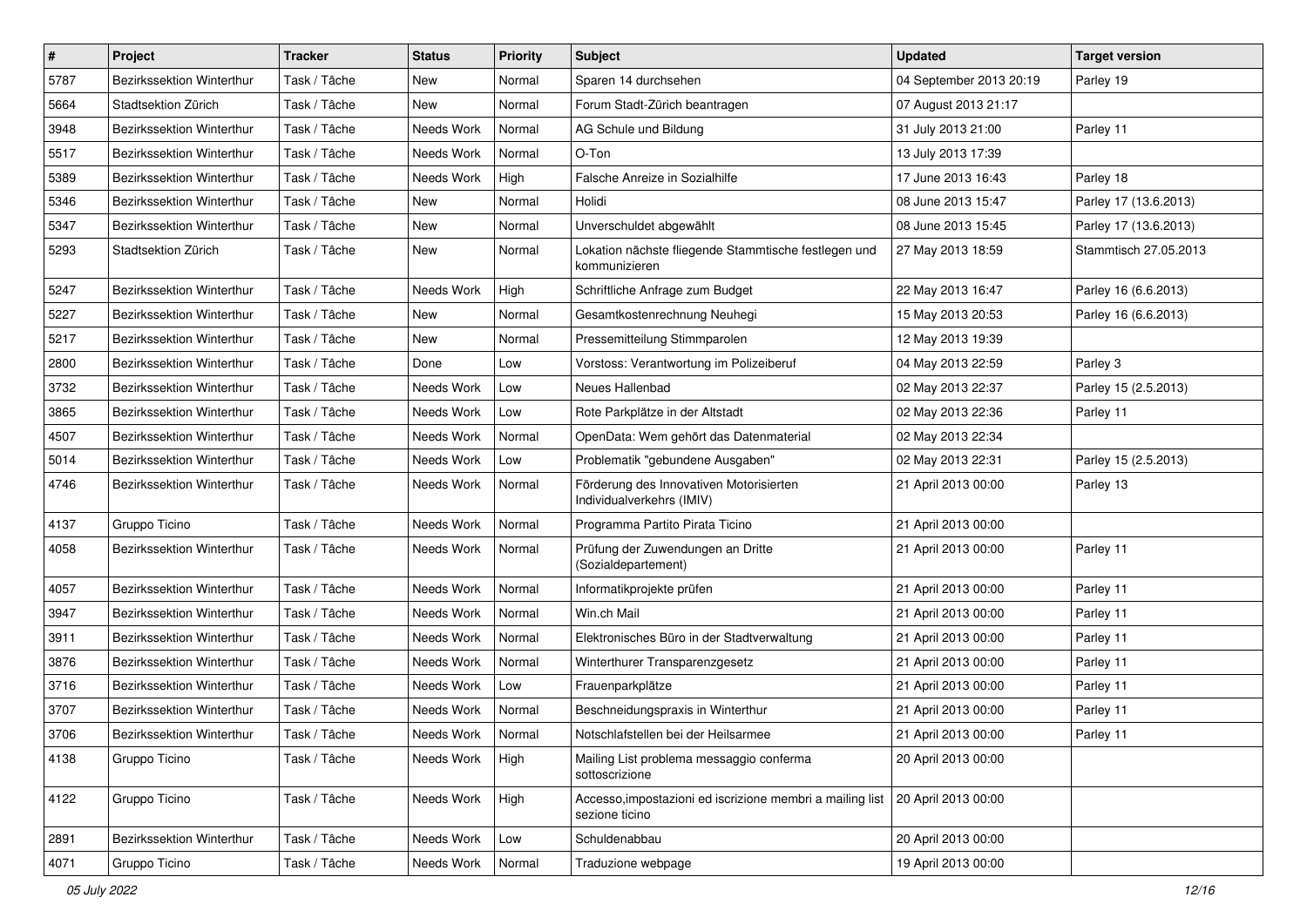| $\pmb{\#}$ | Project                          | <b>Tracker</b> | <b>Status</b> | <b>Priority</b> | <b>Subject</b>                                                                                    | <b>Updated</b>          | <b>Target version</b> |
|------------|----------------------------------|----------------|---------------|-----------------|---------------------------------------------------------------------------------------------------|-------------------------|-----------------------|
| 5787       | Bezirkssektion Winterthur        | Task / Tâche   | New           | Normal          | Sparen 14 durchsehen                                                                              | 04 September 2013 20:19 | Parley 19             |
| 5664       | Stadtsektion Zürich              | Task / Tâche   | New           | Normal          | Forum Stadt-Zürich beantragen                                                                     | 07 August 2013 21:17    |                       |
| 3948       | Bezirkssektion Winterthur        | Task / Tâche   | Needs Work    | Normal          | AG Schule und Bildung                                                                             | 31 July 2013 21:00      | Parley 11             |
| 5517       | Bezirkssektion Winterthur        | Task / Tâche   | Needs Work    | Normal          | O-Ton                                                                                             | 13 July 2013 17:39      |                       |
| 5389       | Bezirkssektion Winterthur        | Task / Tâche   | Needs Work    | High            | Falsche Anreize in Sozialhilfe                                                                    | 17 June 2013 16:43      | Parley 18             |
| 5346       | Bezirkssektion Winterthur        | Task / Tâche   | New           | Normal          | Holidi                                                                                            | 08 June 2013 15:47      | Parley 17 (13.6.2013) |
| 5347       | <b>Bezirkssektion Winterthur</b> | Task / Tâche   | New           | Normal          | Unverschuldet abgewählt                                                                           | 08 June 2013 15:45      | Parley 17 (13.6.2013) |
| 5293       | Stadtsektion Zürich              | Task / Tâche   | New           | Normal          | Lokation nächste fliegende Stammtische festlegen und<br>kommunizieren                             | 27 May 2013 18:59       | Stammtisch 27.05.2013 |
| 5247       | Bezirkssektion Winterthur        | Task / Tâche   | Needs Work    | High            | Schriftliche Anfrage zum Budget                                                                   | 22 May 2013 16:47       | Parley 16 (6.6.2013)  |
| 5227       | Bezirkssektion Winterthur        | Task / Tâche   | New           | Normal          | Gesamtkostenrechnung Neuhegi                                                                      | 15 May 2013 20:53       | Parley 16 (6.6.2013)  |
| 5217       | Bezirkssektion Winterthur        | Task / Tâche   | New           | Normal          | Pressemitteilung Stimmparolen                                                                     | 12 May 2013 19:39       |                       |
| 2800       | Bezirkssektion Winterthur        | Task / Tâche   | Done          | Low             | Vorstoss: Verantwortung im Polizeiberuf                                                           | 04 May 2013 22:59       | Parley 3              |
| 3732       | Bezirkssektion Winterthur        | Task / Tâche   | Needs Work    | Low             | Neues Hallenbad                                                                                   | 02 May 2013 22:37       | Parley 15 (2.5.2013)  |
| 3865       | Bezirkssektion Winterthur        | Task / Tâche   | Needs Work    | Low             | Rote Parkplätze in der Altstadt                                                                   | 02 May 2013 22:36       | Parley 11             |
| 4507       | <b>Bezirkssektion Winterthur</b> | Task / Tâche   | Needs Work    | Normal          | OpenData: Wem gehört das Datenmaterial                                                            | 02 May 2013 22:34       |                       |
| 5014       | Bezirkssektion Winterthur        | Task / Tâche   | Needs Work    | Low             | Problematik "gebundene Ausgaben"                                                                  | 02 May 2013 22:31       | Parley 15 (2.5.2013)  |
| 4746       | Bezirkssektion Winterthur        | Task / Tâche   | Needs Work    | Normal          | Förderung des Innovativen Motorisierten<br>Individualverkehrs (IMIV)                              | 21 April 2013 00:00     | Parley 13             |
| 4137       | Gruppo Ticino                    | Task / Tâche   | Needs Work    | Normal          | Programma Partito Pirata Ticino                                                                   | 21 April 2013 00:00     |                       |
| 4058       | Bezirkssektion Winterthur        | Task / Tâche   | Needs Work    | Normal          | Prüfung der Zuwendungen an Dritte<br>(Sozialdepartement)                                          | 21 April 2013 00:00     | Parley 11             |
| 4057       | Bezirkssektion Winterthur        | Task / Tâche   | Needs Work    | Normal          | Informatikprojekte prüfen                                                                         | 21 April 2013 00:00     | Parley 11             |
| 3947       | Bezirkssektion Winterthur        | Task / Tâche   | Needs Work    | Normal          | Win.ch Mail                                                                                       | 21 April 2013 00:00     | Parley 11             |
| 3911       | Bezirkssektion Winterthur        | Task / Tâche   | Needs Work    | Normal          | Elektronisches Büro in der Stadtverwaltung                                                        | 21 April 2013 00:00     | Parley 11             |
| 3876       | <b>Bezirkssektion Winterthur</b> | Task / Tâche   | Needs Work    | Normal          | Winterthurer Transparenzgesetz                                                                    | 21 April 2013 00:00     | Parley 11             |
| 3716       | <b>Bezirkssektion Winterthur</b> | Task / Tâche   | Needs Work    | Low             | Frauenparkplätze                                                                                  | 21 April 2013 00:00     | Parley 11             |
| 3707       | <b>Bezirkssektion Winterthur</b> | Task / Tâche   | Needs Work    | Normal          | Beschneidungspraxis in Winterthur                                                                 | 21 April 2013 00:00     | Parley 11             |
| 3706       | Bezirkssektion Winterthur        | Task / Tâche   | Needs Work    | Normal          | Notschlafstellen bei der Heilsarmee                                                               | 21 April 2013 00:00     | Parley 11             |
| 4138       | Gruppo Ticino                    | Task / Tâche   | Needs Work    | High            | Mailing List problema messaggio conferma<br>sottoscrizione                                        | 20 April 2013 00:00     |                       |
| 4122       | Gruppo Ticino                    | Task / Tâche   | Needs Work    | High            | Accesso, impostazioni ed iscrizione membri a mailing list   20 April 2013 00:00<br>sezione ticino |                         |                       |
| 2891       | Bezirkssektion Winterthur        | Task / Tâche   | Needs Work    | Low             | Schuldenabbau                                                                                     | 20 April 2013 00:00     |                       |
| 4071       | Gruppo Ticino                    | Task / Tâche   | Needs Work    | Normal          | Traduzione webpage                                                                                | 19 April 2013 00:00     |                       |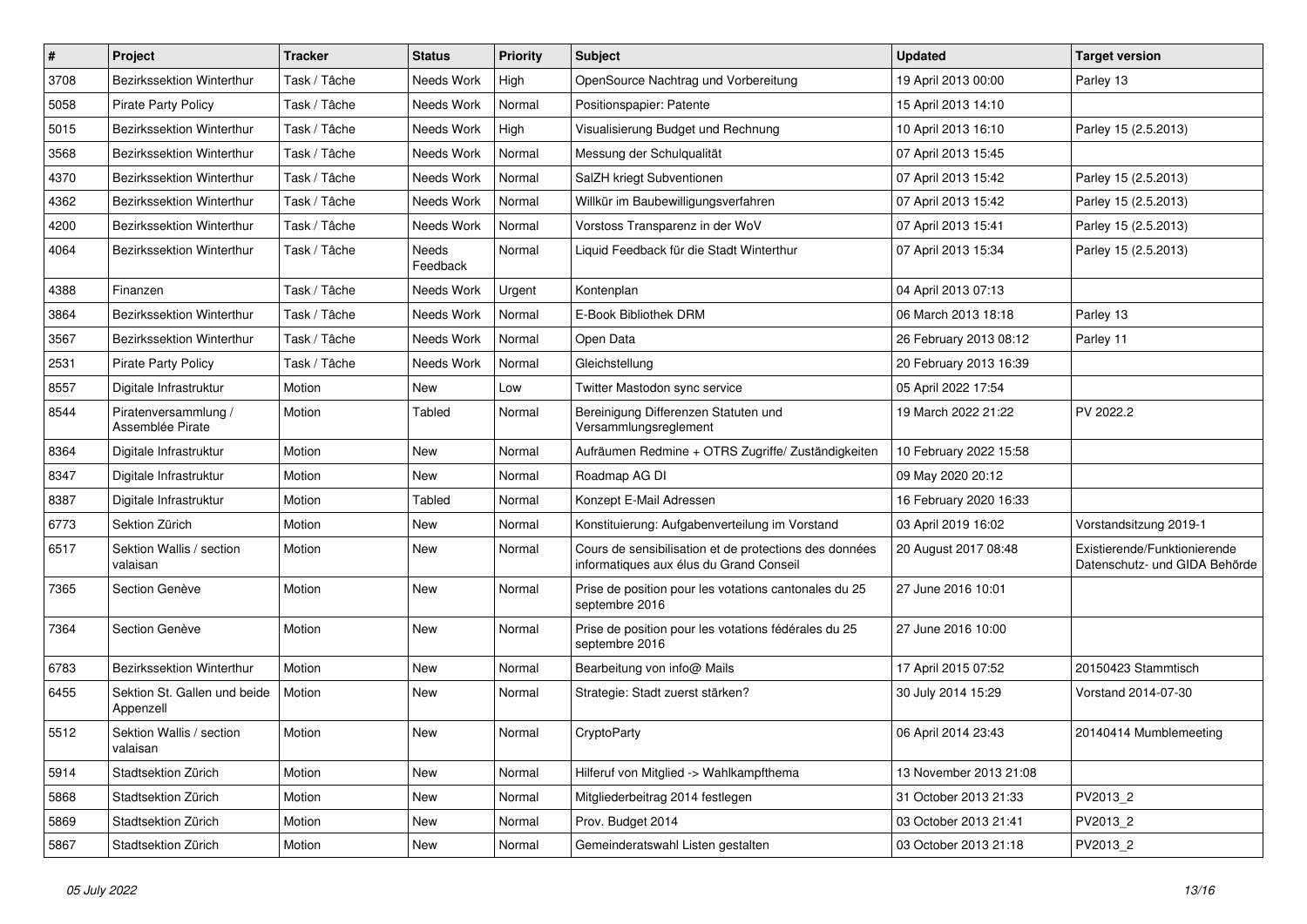| $\pmb{\#}$ | Project                                   | <b>Tracker</b> | <b>Status</b>     | <b>Priority</b> | <b>Subject</b>                                                                                    | <b>Updated</b>         | <b>Target version</b>                                         |
|------------|-------------------------------------------|----------------|-------------------|-----------------|---------------------------------------------------------------------------------------------------|------------------------|---------------------------------------------------------------|
| 3708       | Bezirkssektion Winterthur                 | Task / Tâche   | Needs Work        | High            | OpenSource Nachtrag und Vorbereitung                                                              | 19 April 2013 00:00    | Parley 13                                                     |
| 5058       | Pirate Party Policy                       | Task / Tâche   | Needs Work        | Normal          | Positionspapier: Patente                                                                          | 15 April 2013 14:10    |                                                               |
| 5015       | Bezirkssektion Winterthur                 | Task / Tâche   | Needs Work        | High            | Visualisierung Budget und Rechnung                                                                | 10 April 2013 16:10    | Parley 15 (2.5.2013)                                          |
| 3568       | Bezirkssektion Winterthur                 | Task / Tâche   | Needs Work        | Normal          | Messung der Schulqualität                                                                         | 07 April 2013 15:45    |                                                               |
| 4370       | Bezirkssektion Winterthur                 | Task / Tâche   | Needs Work        | Normal          | SalZH kriegt Subventionen                                                                         | 07 April 2013 15:42    | Parley 15 (2.5.2013)                                          |
| 4362       | Bezirkssektion Winterthur                 | Task / Tâche   | Needs Work        | Normal          | Willkür im Baubewilligungsverfahren                                                               | 07 April 2013 15:42    | Parley 15 (2.5.2013)                                          |
| 4200       | Bezirkssektion Winterthur                 | Task / Tâche   | Needs Work        | Normal          | Vorstoss Transparenz in der WoV                                                                   | 07 April 2013 15:41    | Parley 15 (2.5.2013)                                          |
| 4064       | Bezirkssektion Winterthur                 | Task / Tâche   | Needs<br>Feedback | Normal          | Liquid Feedback für die Stadt Winterthur                                                          | 07 April 2013 15:34    | Parley 15 (2.5.2013)                                          |
| 4388       | Finanzen                                  | Task / Tâche   | Needs Work        | Urgent          | Kontenplan                                                                                        | 04 April 2013 07:13    |                                                               |
| 3864       | Bezirkssektion Winterthur                 | Task / Tâche   | Needs Work        | Normal          | E-Book Bibliothek DRM                                                                             | 06 March 2013 18:18    | Parley 13                                                     |
| 3567       | Bezirkssektion Winterthur                 | Task / Tâche   | Needs Work        | Normal          | Open Data                                                                                         | 26 February 2013 08:12 | Parley 11                                                     |
| 2531       | <b>Pirate Party Policy</b>                | Task / Tâche   | Needs Work        | Normal          | Gleichstellung                                                                                    | 20 February 2013 16:39 |                                                               |
| 8557       | Digitale Infrastruktur                    | Motion         | New               | Low             | Twitter Mastodon sync service                                                                     | 05 April 2022 17:54    |                                                               |
| 8544       | Piratenversammlung /<br>Assemblée Pirate  | Motion         | Tabled            | Normal          | Bereinigung Differenzen Statuten und<br>Versammlungsreglement                                     | 19 March 2022 21:22    | PV 2022.2                                                     |
| 8364       | Digitale Infrastruktur                    | Motion         | New               | Normal          | Aufräumen Redmine + OTRS Zugriffe/ Zuständigkeiten                                                | 10 February 2022 15:58 |                                                               |
| 8347       | Digitale Infrastruktur                    | Motion         | <b>New</b>        | Normal          | Roadmap AG DI                                                                                     | 09 May 2020 20:12      |                                                               |
| 8387       | Digitale Infrastruktur                    | Motion         | Tabled            | Normal          | Konzept E-Mail Adressen                                                                           | 16 February 2020 16:33 |                                                               |
| 6773       | Sektion Zürich                            | Motion         | New               | Normal          | Konstituierung: Aufgabenverteilung im Vorstand                                                    | 03 April 2019 16:02    | Vorstandsitzung 2019-1                                        |
| 6517       | Sektion Wallis / section<br>valaisan      | Motion         | <b>New</b>        | Normal          | Cours de sensibilisation et de protections des données<br>informatiques aux élus du Grand Conseil | 20 August 2017 08:48   | Existierende/Funktionierende<br>Datenschutz- und GIDA Behörde |
| 7365       | Section Genève                            | Motion         | <b>New</b>        | Normal          | Prise de position pour les votations cantonales du 25<br>septembre 2016                           | 27 June 2016 10:01     |                                                               |
| 7364       | Section Genève                            | Motion         | <b>New</b>        | Normal          | Prise de position pour les votations fédérales du 25<br>septembre 2016                            | 27 June 2016 10:00     |                                                               |
| 6783       | <b>Bezirkssektion Winterthur</b>          | Motion         | New               | Normal          | Bearbeitung von info@ Mails                                                                       | 17 April 2015 07:52    | 20150423 Stammtisch                                           |
| 6455       | Sektion St. Gallen und beide<br>Appenzell | Motion         | New               | Normal          | Strategie: Stadt zuerst stärken?                                                                  | 30 July 2014 15:29     | Vorstand 2014-07-30                                           |
| 5512       | Sektion Wallis / section<br>valaisan      | Motion         | New               | Normal          | CryptoParty                                                                                       | 06 April 2014 23:43    | 20140414 Mumblemeeting                                        |
| 5914       | Stadtsektion Zürich                       | Motion         | New               | Normal          | Hilferuf von Mitglied -> Wahlkampfthema                                                           | 13 November 2013 21:08 |                                                               |
| 5868       | Stadtsektion Zürich                       | Motion         | New               | Normal          | Mitgliederbeitrag 2014 festlegen                                                                  | 31 October 2013 21:33  | PV2013_2                                                      |
| 5869       | Stadtsektion Zürich                       | Motion         | New               | Normal          | Prov. Budget 2014                                                                                 | 03 October 2013 21:41  | PV2013_2                                                      |
| 5867       | Stadtsektion Zürich                       | Motion         | New               | Normal          | Gemeinderatswahl Listen gestalten                                                                 | 03 October 2013 21:18  | PV2013_2                                                      |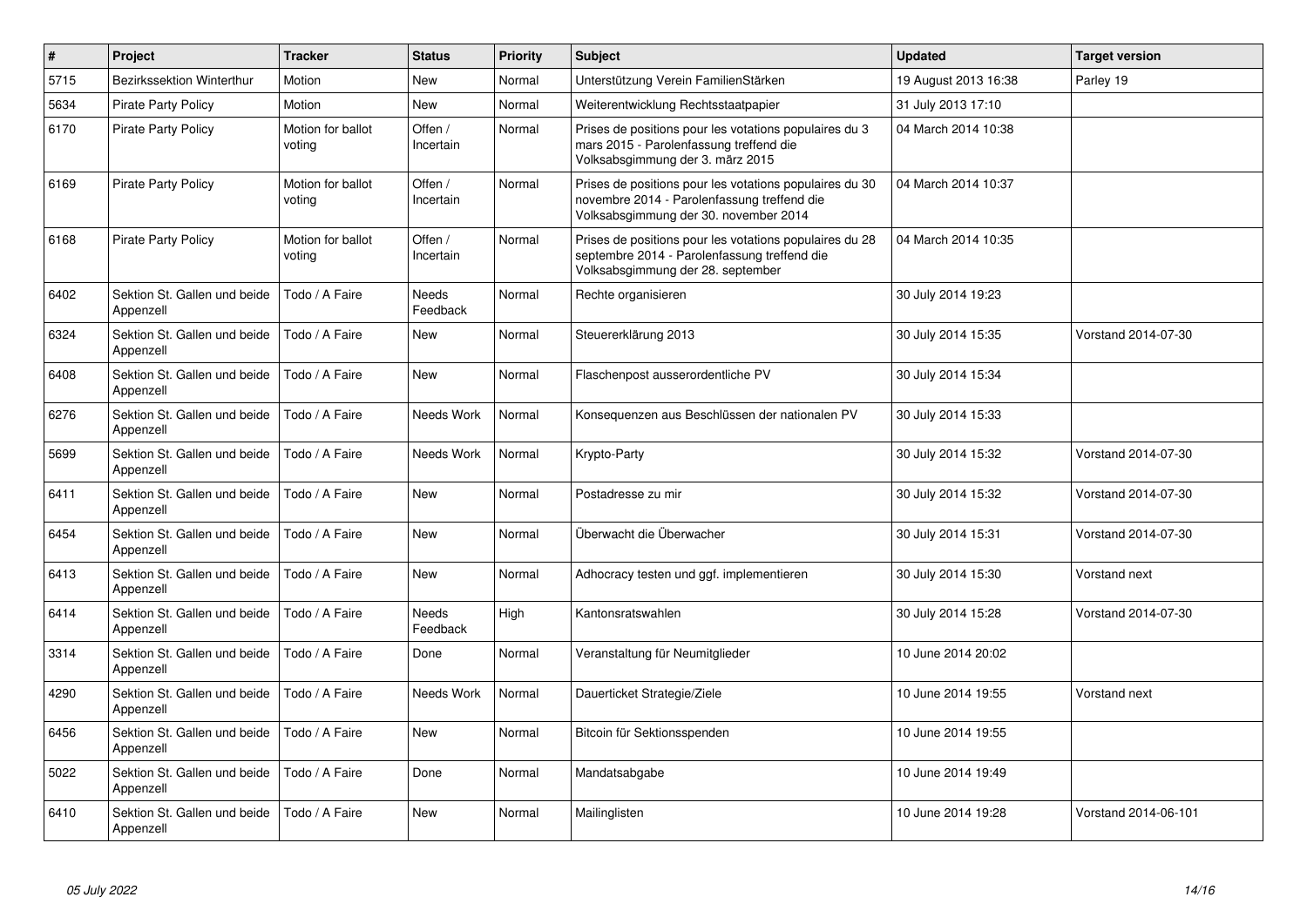| $\pmb{\#}$ | Project                                   | <b>Tracker</b>              | <b>Status</b>            | <b>Priority</b> | <b>Subject</b>                                                                                                                                  | <b>Updated</b>       | <b>Target version</b> |
|------------|-------------------------------------------|-----------------------------|--------------------------|-----------------|-------------------------------------------------------------------------------------------------------------------------------------------------|----------------------|-----------------------|
| 5715       | <b>Bezirkssektion Winterthur</b>          | Motion                      | <b>New</b>               | Normal          | Unterstützung Verein FamilienStärken                                                                                                            | 19 August 2013 16:38 | Parley 19             |
| 5634       | <b>Pirate Party Policy</b>                | Motion                      | <b>New</b>               | Normal          | Weiterentwicklung Rechtsstaatpapier                                                                                                             | 31 July 2013 17:10   |                       |
| 6170       | <b>Pirate Party Policy</b>                | Motion for ballot<br>voting | Offen /<br>Incertain     | Normal          | Prises de positions pour les votations populaires du 3<br>mars 2015 - Parolenfassung treffend die<br>Volksabsgimmung der 3. märz 2015           | 04 March 2014 10:38  |                       |
| 6169       | <b>Pirate Party Policy</b>                | Motion for ballot<br>voting | Offen /<br>Incertain     | Normal          | Prises de positions pour les votations populaires du 30<br>novembre 2014 - Parolenfassung treffend die<br>Volksabsgimmung der 30. november 2014 | 04 March 2014 10:37  |                       |
| 6168       | <b>Pirate Party Policy</b>                | Motion for ballot<br>voting | Offen /<br>Incertain     | Normal          | Prises de positions pour les votations populaires du 28<br>septembre 2014 - Parolenfassung treffend die<br>Volksabsgimmung der 28. september    | 04 March 2014 10:35  |                       |
| 6402       | Sektion St. Gallen und beide<br>Appenzell | Todo / A Faire              | <b>Needs</b><br>Feedback | Normal          | Rechte organisieren                                                                                                                             | 30 July 2014 19:23   |                       |
| 6324       | Sektion St. Gallen und beide<br>Appenzell | Todo / A Faire              | <b>New</b>               | Normal          | Steuererklärung 2013                                                                                                                            | 30 July 2014 15:35   | Vorstand 2014-07-30   |
| 6408       | Sektion St. Gallen und beide<br>Appenzell | Todo / A Faire              | <b>New</b>               | Normal          | Flaschenpost ausserordentliche PV                                                                                                               | 30 July 2014 15:34   |                       |
| 6276       | Sektion St. Gallen und beide<br>Appenzell | Todo / A Faire              | Needs Work               | Normal          | Konsequenzen aus Beschlüssen der nationalen PV                                                                                                  | 30 July 2014 15:33   |                       |
| 5699       | Sektion St. Gallen und beide<br>Appenzell | Todo / A Faire              | Needs Work               | Normal          | Krypto-Party                                                                                                                                    | 30 July 2014 15:32   | Vorstand 2014-07-30   |
| 6411       | Sektion St. Gallen und beide<br>Appenzell | Todo / A Faire              | <b>New</b>               | Normal          | Postadresse zu mir                                                                                                                              | 30 July 2014 15:32   | Vorstand 2014-07-30   |
| 6454       | Sektion St. Gallen und beide<br>Appenzell | Todo / A Faire              | <b>New</b>               | Normal          | Überwacht die Überwacher                                                                                                                        | 30 July 2014 15:31   | Vorstand 2014-07-30   |
| 6413       | Sektion St. Gallen und beide<br>Appenzell | Todo / A Faire              | New                      | Normal          | Adhocracy testen und ggf. implementieren                                                                                                        | 30 July 2014 15:30   | Vorstand next         |
| 6414       | Sektion St. Gallen und beide<br>Appenzell | Todo / A Faire              | Needs<br>Feedback        | High            | Kantonsratswahlen                                                                                                                               | 30 July 2014 15:28   | Vorstand 2014-07-30   |
| 3314       | Sektion St. Gallen und beide<br>Appenzell | Todo / A Faire              | Done                     | Normal          | Veranstaltung für Neumitglieder                                                                                                                 | 10 June 2014 20:02   |                       |
| 4290       | Sektion St. Gallen und beide<br>Appenzell | Todo / A Faire              | Needs Work               | Normal          | Dauerticket Strategie/Ziele                                                                                                                     | 10 June 2014 19:55   | Vorstand next         |
| 6456       | Sektion St. Gallen und beide<br>Appenzell | Todo / A Faire              | New                      | Normal          | Bitcoin für Sektionsspenden                                                                                                                     | 10 June 2014 19:55   |                       |
| 5022       | Sektion St. Gallen und beide<br>Appenzell | Todo / A Faire              | Done                     | Normal          | Mandatsabgabe                                                                                                                                   | 10 June 2014 19:49   |                       |
| 6410       | Sektion St. Gallen und beide<br>Appenzell | Todo / A Faire              | <b>New</b>               | Normal          | Mailinglisten                                                                                                                                   | 10 June 2014 19:28   | Vorstand 2014-06-101  |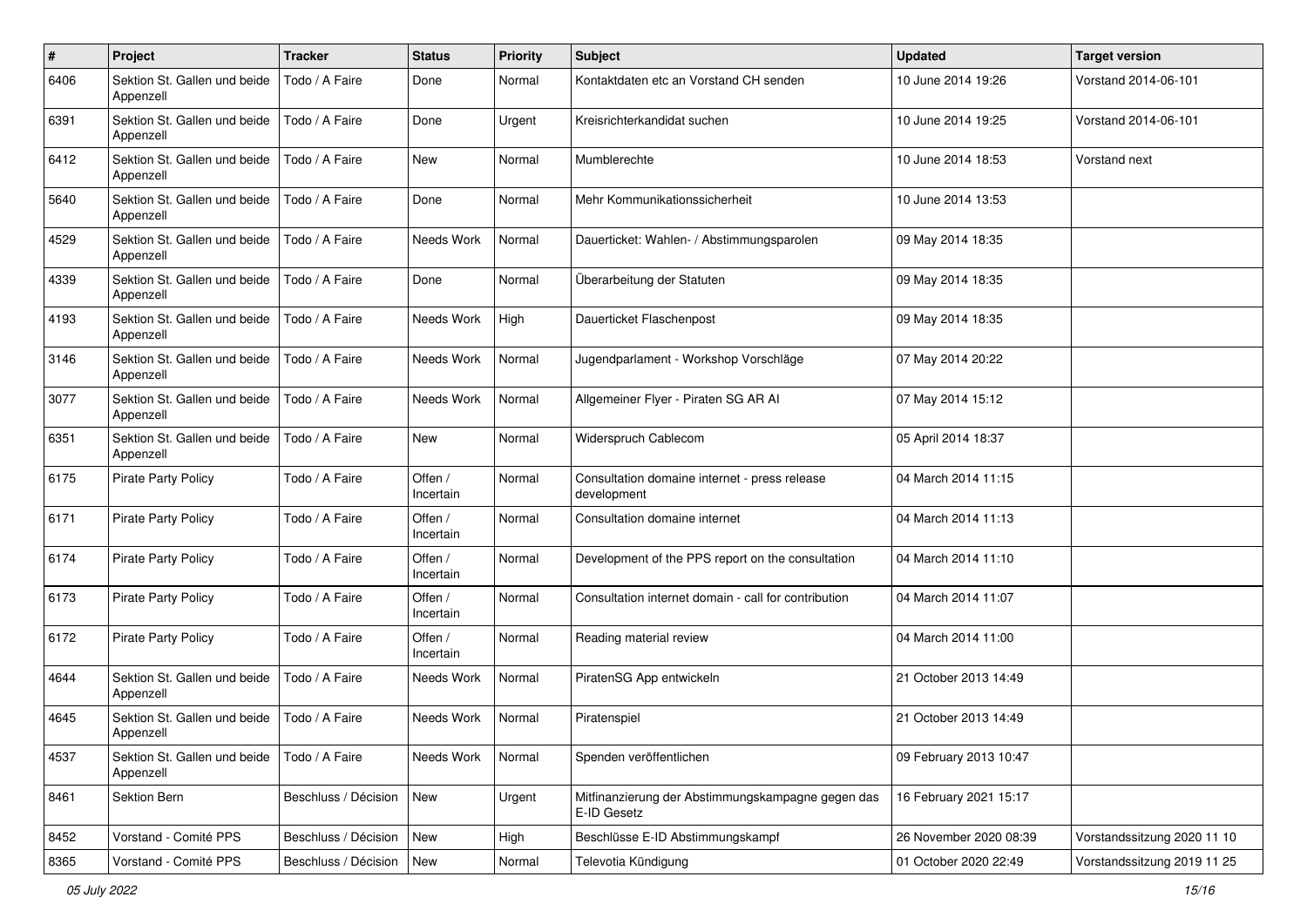| #    | Project                                   | <b>Tracker</b>       | <b>Status</b>        | <b>Priority</b> | Subject                                                          | <b>Updated</b>         | <b>Target version</b>       |
|------|-------------------------------------------|----------------------|----------------------|-----------------|------------------------------------------------------------------|------------------------|-----------------------------|
| 6406 | Sektion St. Gallen und beide<br>Appenzell | Todo / A Faire       | Done                 | Normal          | Kontaktdaten etc an Vorstand CH senden                           | 10 June 2014 19:26     | Vorstand 2014-06-101        |
| 6391 | Sektion St. Gallen und beide<br>Appenzell | Todo / A Faire       | Done                 | Urgent          | Kreisrichterkandidat suchen                                      | 10 June 2014 19:25     | Vorstand 2014-06-101        |
| 6412 | Sektion St. Gallen und beide<br>Appenzell | Todo / A Faire       | <b>New</b>           | Normal          | Mumblerechte                                                     | 10 June 2014 18:53     | Vorstand next               |
| 5640 | Sektion St. Gallen und beide<br>Appenzell | Todo / A Faire       | Done                 | Normal          | Mehr Kommunikationssicherheit                                    | 10 June 2014 13:53     |                             |
| 4529 | Sektion St. Gallen und beide<br>Appenzell | Todo / A Faire       | Needs Work           | Normal          | Dauerticket: Wahlen- / Abstimmungsparolen                        | 09 May 2014 18:35      |                             |
| 4339 | Sektion St. Gallen und beide<br>Appenzell | Todo / A Faire       | Done                 | Normal          | Überarbeitung der Statuten                                       | 09 May 2014 18:35      |                             |
| 4193 | Sektion St. Gallen und beide<br>Appenzell | Todo / A Faire       | Needs Work           | High            | Dauerticket Flaschenpost                                         | 09 May 2014 18:35      |                             |
| 3146 | Sektion St. Gallen und beide<br>Appenzell | Todo / A Faire       | Needs Work           | Normal          | Jugendparlament - Workshop Vorschläge                            | 07 May 2014 20:22      |                             |
| 3077 | Sektion St. Gallen und beide<br>Appenzell | Todo / A Faire       | Needs Work           | Normal          | Allgemeiner Flyer - Piraten SG AR Al                             | 07 May 2014 15:12      |                             |
| 6351 | Sektion St. Gallen und beide<br>Appenzell | Todo / A Faire       | <b>New</b>           | Normal          | Widerspruch Cablecom                                             | 05 April 2014 18:37    |                             |
| 6175 | <b>Pirate Party Policy</b>                | Todo / A Faire       | Offen /<br>Incertain | Normal          | Consultation domaine internet - press release<br>development     | 04 March 2014 11:15    |                             |
| 6171 | <b>Pirate Party Policy</b>                | Todo / A Faire       | Offen /<br>Incertain | Normal          | Consultation domaine internet                                    | 04 March 2014 11:13    |                             |
| 6174 | <b>Pirate Party Policy</b>                | Todo / A Faire       | Offen /<br>Incertain | Normal          | Development of the PPS report on the consultation                | 04 March 2014 11:10    |                             |
| 6173 | <b>Pirate Party Policy</b>                | Todo / A Faire       | Offen /<br>Incertain | Normal          | Consultation internet domain - call for contribution             | 04 March 2014 11:07    |                             |
| 6172 | <b>Pirate Party Policy</b>                | Todo / A Faire       | Offen /<br>Incertain | Normal          | Reading material review                                          | 04 March 2014 11:00    |                             |
| 4644 | Sektion St. Gallen und beide<br>Appenzell | Todo / A Faire       | Needs Work           | Normal          | PiratenSG App entwickeln                                         | 21 October 2013 14:49  |                             |
| 4645 | Sektion St. Gallen und beide<br>Appenzell | Todo / A Faire       | Needs Work           | Normal          | Piratenspiel                                                     | 21 October 2013 14:49  |                             |
| 4537 | Sektion St. Gallen und beide<br>Appenzell | Todo / A Faire       | Needs Work           | Normal          | Spenden veröffentlichen                                          | 09 February 2013 10:47 |                             |
| 8461 | Sektion Bern                              | Beschluss / Décision | New                  | Urgent          | Mitfinanzierung der Abstimmungskampagne gegen das<br>E-ID Gesetz | 16 February 2021 15:17 |                             |
| 8452 | Vorstand - Comité PPS                     | Beschluss / Décision | New                  | High            | Beschlüsse E-ID Abstimmungskampf                                 | 26 November 2020 08:39 | Vorstandssitzung 2020 11 10 |
| 8365 | Vorstand - Comité PPS                     | Beschluss / Décision | New                  | Normal          | Televotia Kündigung                                              | 01 October 2020 22:49  | Vorstandssitzung 2019 11 25 |